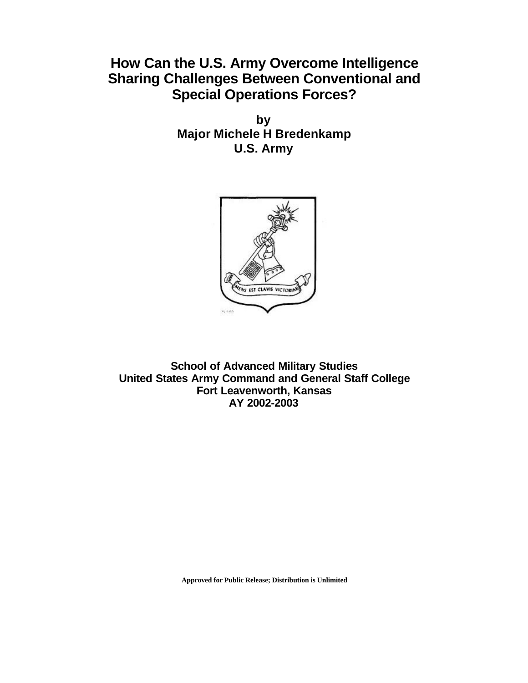## **How Can the U.S. Army Overcome Intelligence Sharing Challenges Between Conventional and Special Operations Forces?**

**by Major Michele H Bredenkamp U.S. Army**



**School of Advanced Military Studies United States Army Command and General Staff College Fort Leavenworth, Kansas AY 2002-2003**

**Approved for Public Release; Distribution is Unlimited**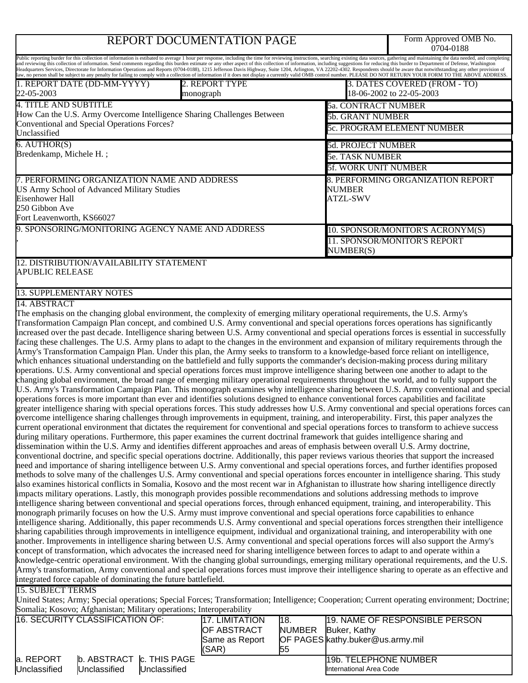# REPORT DOCUMENTATION PAGE

Form Approved OMB No.<br>0704-0188

|                                                                                                                                                                                                                                                                                                                                                                                                                                                                  |                                                                                                                                              |               |                                  | 070 <del>1</del> -0100                                   |  |
|------------------------------------------------------------------------------------------------------------------------------------------------------------------------------------------------------------------------------------------------------------------------------------------------------------------------------------------------------------------------------------------------------------------------------------------------------------------|----------------------------------------------------------------------------------------------------------------------------------------------|---------------|----------------------------------|----------------------------------------------------------|--|
| Public reporting burder for this collection of information is estibated to average 1 hour per response, including the time for reviewing instructions, searching existing data sources, gathering and maintaining the data nee<br>and reviewing this collection of information. Send comments regarding this burden estimate or any other aspect of this collection of information, including suggestions for reducing this burder to Department of Defense, Was |                                                                                                                                              |               |                                  |                                                          |  |
| Headquarters Services, Directorate for Information Operations and Reports (0704-0188), 1215 Jefferson Davis Highway, Suite 1204, Arlington, VA 22202-4302. Respondents should be aware that notwithstanding any other provisio<br>aw, no person shall be subject to any penalty for failing to comply with a collection of information if it does not display a currently valid OMB control number. PLEASE DO NOT RETURN YOUR FORM TO THE ABOVE ADDRESS.         |                                                                                                                                              |               |                                  |                                                          |  |
| 1. REPORT DATE (DD-MM-YYYY)<br>22-05-2003<br>monograph                                                                                                                                                                                                                                                                                                                                                                                                           | 2. REPORT TYPE                                                                                                                               |               |                                  | 3. DATES COVERED (FROM - TO)<br>18-06-2002 to 22-05-2003 |  |
| <b>4. TITLE AND SUBTITLE</b>                                                                                                                                                                                                                                                                                                                                                                                                                                     |                                                                                                                                              |               | <b>5a. CONTRACT NUMBER</b>       |                                                          |  |
| How Can the U.S. Army Overcome Intelligence Sharing Challenges Between                                                                                                                                                                                                                                                                                                                                                                                           |                                                                                                                                              |               | <b>5b. GRANT NUMBER</b>          |                                                          |  |
| Conventional and Special Operations Forces?                                                                                                                                                                                                                                                                                                                                                                                                                      |                                                                                                                                              |               |                                  | 5c. PROGRAM ELEMENT NUMBER                               |  |
| Unclassified                                                                                                                                                                                                                                                                                                                                                                                                                                                     |                                                                                                                                              |               |                                  |                                                          |  |
| $6.$ AUTHOR(S)<br>Bredenkamp, Michele H.;                                                                                                                                                                                                                                                                                                                                                                                                                        |                                                                                                                                              |               | <b>5d. PROJECT NUMBER</b>        |                                                          |  |
|                                                                                                                                                                                                                                                                                                                                                                                                                                                                  |                                                                                                                                              |               | 5e. TASK NUMBER                  |                                                          |  |
|                                                                                                                                                                                                                                                                                                                                                                                                                                                                  |                                                                                                                                              |               | <b>5f. WORK UNIT NUMBER</b>      |                                                          |  |
| 7. PERFORMING ORGANIZATION NAME AND ADDRESS                                                                                                                                                                                                                                                                                                                                                                                                                      |                                                                                                                                              |               |                                  | 8. PERFORMING ORGANIZATION REPORT                        |  |
| US Army School of Advanced Military Studies<br><b>Eisenhower Hall</b>                                                                                                                                                                                                                                                                                                                                                                                            |                                                                                                                                              |               | NUMBER<br><b>ATZL-SWV</b>        |                                                          |  |
| 250 Gibbon Ave                                                                                                                                                                                                                                                                                                                                                                                                                                                   |                                                                                                                                              |               |                                  |                                                          |  |
| Fort Leavenworth, KS66027                                                                                                                                                                                                                                                                                                                                                                                                                                        |                                                                                                                                              |               |                                  |                                                          |  |
| 9. SPONSORING/MONITORING AGENCY NAME AND ADDRESS                                                                                                                                                                                                                                                                                                                                                                                                                 |                                                                                                                                              |               |                                  | 10. SPONSOR/MONITOR'S ACRONYM(S)                         |  |
|                                                                                                                                                                                                                                                                                                                                                                                                                                                                  |                                                                                                                                              |               | 11. SPONSOR/MONITOR'S REPORT     |                                                          |  |
|                                                                                                                                                                                                                                                                                                                                                                                                                                                                  |                                                                                                                                              |               | NUMBER(S)                        |                                                          |  |
| 12. DISTRIBUTION/AVAILABILITY STATEMENT                                                                                                                                                                                                                                                                                                                                                                                                                          |                                                                                                                                              |               |                                  |                                                          |  |
| <b>APUBLIC RELEASE</b>                                                                                                                                                                                                                                                                                                                                                                                                                                           |                                                                                                                                              |               |                                  |                                                          |  |
| <b>13. SUPPLEMENTARY NOTES</b>                                                                                                                                                                                                                                                                                                                                                                                                                                   |                                                                                                                                              |               |                                  |                                                          |  |
| 14. ABSTRACT                                                                                                                                                                                                                                                                                                                                                                                                                                                     |                                                                                                                                              |               |                                  |                                                          |  |
| The emphasis on the changing global environment, the complexity of emerging military operational requirements, the U.S. Army's                                                                                                                                                                                                                                                                                                                                   |                                                                                                                                              |               |                                  |                                                          |  |
| Transformation Campaign Plan concept, and combined U.S. Army conventional and special operations forces operations has significantly                                                                                                                                                                                                                                                                                                                             |                                                                                                                                              |               |                                  |                                                          |  |
| increased over the past decade. Intelligence sharing between U.S. Army conventional and special operations forces is essential in successfully                                                                                                                                                                                                                                                                                                                   |                                                                                                                                              |               |                                  |                                                          |  |
| facing these challenges. The U.S. Army plans to adapt to the changes in the environment and expansion of military requirements through the                                                                                                                                                                                                                                                                                                                       |                                                                                                                                              |               |                                  |                                                          |  |
| Army's Transformation Campaign Plan. Under this plan, the Army seeks to transform to a knowledge-based force reliant on intelligence,                                                                                                                                                                                                                                                                                                                            |                                                                                                                                              |               |                                  |                                                          |  |
| which enhances situational understanding on the battlefield and fully supports the commander's decision-making process during military                                                                                                                                                                                                                                                                                                                           |                                                                                                                                              |               |                                  |                                                          |  |
| operations. U.S. Army conventional and special operations forces must improve intelligence sharing between one another to adapt to the                                                                                                                                                                                                                                                                                                                           |                                                                                                                                              |               |                                  |                                                          |  |
| changing global environment, the broad range of emerging military operational requirements throughout the world, and to fully support the                                                                                                                                                                                                                                                                                                                        |                                                                                                                                              |               |                                  |                                                          |  |
| U.S. Army's Transformation Campaign Plan. This monograph examines why intelligence sharing between U.S. Army conventional and special<br>operations forces is more important than ever and identifies solutions designed to enhance conventional forces capabilities and facilitate                                                                                                                                                                              |                                                                                                                                              |               |                                  |                                                          |  |
| greater intelligence sharing with special operations forces. This study addresses how U.S. Army conventional and special operations forces can                                                                                                                                                                                                                                                                                                                   |                                                                                                                                              |               |                                  |                                                          |  |
| overcome intelligence sharing challenges through improvements in equipment, training, and interoperability. First, this paper analyzes the                                                                                                                                                                                                                                                                                                                       |                                                                                                                                              |               |                                  |                                                          |  |
| current operational environment that dictates the requirement for conventional and special operations forces to transform to achieve success                                                                                                                                                                                                                                                                                                                     |                                                                                                                                              |               |                                  |                                                          |  |
| during military operations. Furthermore, this paper examines the current doctrinal framework that guides intelligence sharing and                                                                                                                                                                                                                                                                                                                                |                                                                                                                                              |               |                                  |                                                          |  |
| dissemination within the U.S. Army and identifies different approaches and areas of emphasis between overall U.S. Army doctrine,                                                                                                                                                                                                                                                                                                                                 |                                                                                                                                              |               |                                  |                                                          |  |
| conventional doctrine, and specific special operations doctrine. Additionally, this paper reviews various theories that support the increased                                                                                                                                                                                                                                                                                                                    |                                                                                                                                              |               |                                  |                                                          |  |
| need and importance of sharing intelligence between U.S. Army conventional and special operations forces, and further identifies proposed                                                                                                                                                                                                                                                                                                                        |                                                                                                                                              |               |                                  |                                                          |  |
| methods to solve many of the challenges U.S. Army conventional and special operations forces encounter in intelligence sharing. This study                                                                                                                                                                                                                                                                                                                       |                                                                                                                                              |               |                                  |                                                          |  |
|                                                                                                                                                                                                                                                                                                                                                                                                                                                                  | also examines historical conflicts in Somalia, Kosovo and the most recent war in Afghanistan to illustrate how sharing intelligence directly |               |                                  |                                                          |  |
| impacts military operations. Lastly, this monograph provides possible recommendations and solutions addressing methods to improve                                                                                                                                                                                                                                                                                                                                |                                                                                                                                              |               |                                  |                                                          |  |
| intelligence sharing between conventional and special operations forces, through enhanced equipment, training, and interoperability. This                                                                                                                                                                                                                                                                                                                        |                                                                                                                                              |               |                                  |                                                          |  |
| monograph primarily focuses on how the U.S. Army must improve conventional and special operations force capabilities to enhance                                                                                                                                                                                                                                                                                                                                  |                                                                                                                                              |               |                                  |                                                          |  |
| intelligence sharing. Additionally, this paper recommends U.S. Army conventional and special operations forces strengthen their intelligence                                                                                                                                                                                                                                                                                                                     |                                                                                                                                              |               |                                  |                                                          |  |
| sharing capabilities through improvements in intelligence equipment, individual and organizational training, and interoperability with one<br>another. Improvements in intelligence sharing between U.S. Army conventional and special operations forces will also support the Army's                                                                                                                                                                            |                                                                                                                                              |               |                                  |                                                          |  |
|                                                                                                                                                                                                                                                                                                                                                                                                                                                                  |                                                                                                                                              |               |                                  |                                                          |  |
| concept of transformation, which advocates the increased need for sharing intelligence between forces to adapt to and operate within a<br>knowledge-centric operational environment. With the changing global surroundings, emerging military operational requirements, and the U.S.                                                                                                                                                                             |                                                                                                                                              |               |                                  |                                                          |  |
| Army's transformation, Army conventional and special operations forces must improve their intelligence sharing to operate as an effective and                                                                                                                                                                                                                                                                                                                    |                                                                                                                                              |               |                                  |                                                          |  |
| integrated force capable of dominating the future battlefield.                                                                                                                                                                                                                                                                                                                                                                                                   |                                                                                                                                              |               |                                  |                                                          |  |
| <b>15. SUBJECT TERMS</b>                                                                                                                                                                                                                                                                                                                                                                                                                                         |                                                                                                                                              |               |                                  |                                                          |  |
| United States; Army; Special operations; Special Forces; Transformation; Intelligence; Cooperation; Current operating environment; Doctrine;                                                                                                                                                                                                                                                                                                                     |                                                                                                                                              |               |                                  |                                                          |  |
| Somalia; Kosovo; Afghanistan; Military operations; Interoperability                                                                                                                                                                                                                                                                                                                                                                                              |                                                                                                                                              |               |                                  |                                                          |  |
| 16. SECURITY CLASSIFICATION OF:                                                                                                                                                                                                                                                                                                                                                                                                                                  | 17. LIMITATION                                                                                                                               | l18.          |                                  | 19. NAME OF RESPONSIBLE PERSON                           |  |
|                                                                                                                                                                                                                                                                                                                                                                                                                                                                  | OF ABSTRACT                                                                                                                                  | <b>NUMBER</b> | Buker, Kathy                     |                                                          |  |
|                                                                                                                                                                                                                                                                                                                                                                                                                                                                  | Same as Report                                                                                                                               |               | OF PAGES kathy.buker@us.army.mil |                                                          |  |

|                      |                          |                     | (SAR) | <b>1</b> 55 |                                      |
|----------------------|--------------------------|---------------------|-------|-------------|--------------------------------------|
| REPORT<br>la.        | b. ABSTRACT c. THIS PAGE |                     |       |             | TELEPHONE NUMBER<br>119 <sub>b</sub> |
| <b>IUnclassified</b> | Unclassified             | <b>Unclassified</b> |       |             | <b>International Area Code</b>       |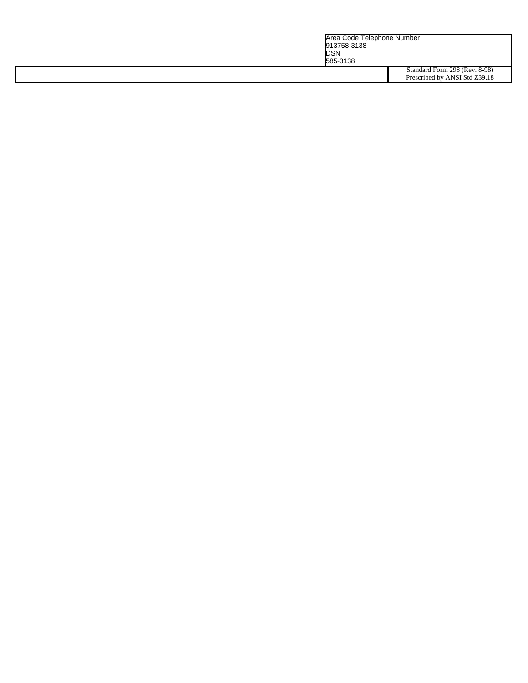|  |  | Area Code Telephone Number<br>913758-3138<br><b>DSN</b><br>585-3138 |                                                                |
|--|--|---------------------------------------------------------------------|----------------------------------------------------------------|
|  |  |                                                                     | Standard Form 298 (Rev. 8-98)<br>Prescribed by ANSI Std Z39.18 |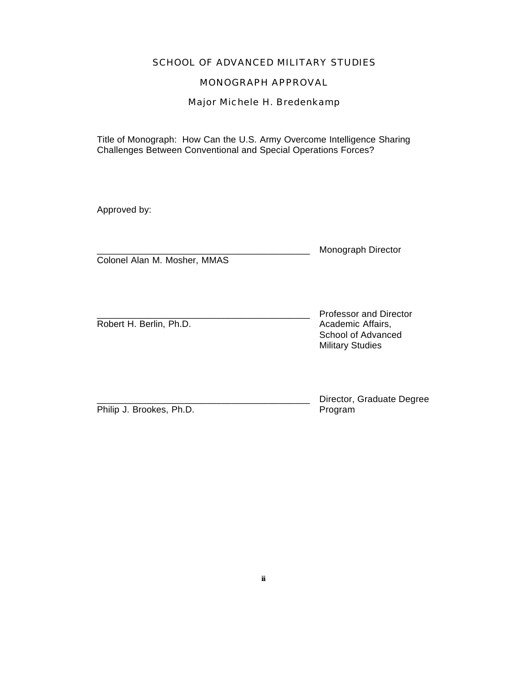## SCHOOL OF ADVANCED MILITARY STUDIES

## MONOGRAPH APPROVAL

Major Michele H. Bredenkamp

Title of Monograph:How Can the U.S. Army Overcome Intelligence Sharing Challenges Between Conventional and Special Operations Forces?

Approved by:

|                              | Monograph Director |
|------------------------------|--------------------|
| Colonel Alan M. Mosher, MMAS |                    |

Professor and Director Robert H. Berlin, Ph.D. **Academic Affairs**, School of Advanced

Philip J. Brookes, Ph.D. Program

Military Studies

Director, Graduate Degree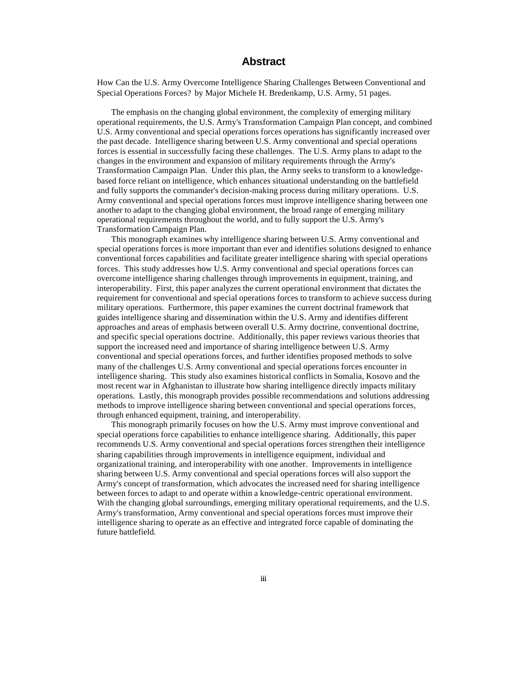## **Abstract**

How Can the U.S. Army Overcome Intelligence Sharing Challenges Between Conventional and Special Operations Forces? by Major Michele H. Bredenkamp, U.S. Army, 51 pages.

The emphasis on the changing global environment, the complexity of emerging military operational requirements, the U.S. Army's Transformation Campaign Plan concept, and combined U.S. Army conventional and special operations forces operations has significantly increased over the past decade. Intelligence sharing between U.S. Army conventional and special operations forces is essential in successfully facing these challenges. The U.S. Army plans to adapt to the changes in the environment and expansion of military requirements through the Army's Transformation Campaign Plan. Under this plan, the Army seeks to transform to a knowledgebased force reliant on intelligence, which enhances situational understanding on the battlefield and fully supports the commander's decision-making process during military operations. U.S. Army conventional and special operations forces must improve intelligence sharing between one another to adapt to the changing global environment, the broad range of emerging military operational requirements throughout the world, and to fully support the U.S. Army's Transformation Campaign Plan.

This monograph examines why intelligence sharing between U.S. Army conventional and special operations forces is more important than ever and identifies solutions designed to enhance conventional forces capabilities and facilitate greater intelligence sharing with special operations forces. This study addresses how U.S. Army conventional and special operations forces can overcome intelligence sharing challenges through improvements in equipment, training, and interoperability. First, this paper analyzes the current operational environment that dictates the requirement for conventional and special operations forces to transform to achieve success during military operations. Furthermore, this paper examines the current doctrinal framework that guides intelligence sharing and dissemination within the U.S. Army and identifies different approaches and areas of emphasis between overall U.S. Army doctrine, conventional doctrine, and specific special operations doctrine. Additionally, this paper reviews various theories that support the increased need and importance of sharing intelligence between U.S. Army conventional and special operations forces, and further identifies proposed methods to solve many of the challenges U.S. Army conventional and special operations forces encounter in intelligence sharing. This study also examines historical conflicts in Somalia, Kosovo and the most recent war in Afghanistan to illustrate how sharing intelligence directly impacts military operations. Lastly, this monograph provides possible recommendations and solutions addressing methods to improve intelligence sharing between conventional and special operations forces, through enhanced equipment, training, and interoperability.

This monograph primarily focuses on how the U.S. Army must improve conventional and special operations force capabilities to enhance intelligence sharing. Additionally, this paper recommends U.S. Army conventional and special operations forces strengthen their intelligence sharing capabilities through improvements in intelligence equipment, individual and organizational training, and interoperability with one another. Improvements in intelligence sharing between U.S. Army conventional and special operations forces will also support the Army's concept of transformation, which advocates the increased need for sharing intelligence between forces to adapt to and operate within a knowledge-centric operational environment. With the changing global surroundings, emerging military operational requirements, and the U.S. Army's transformation, Army conventional and special operations forces must improve their intelligence sharing to operate as an effective and integrated force capable of dominating the future battlefield.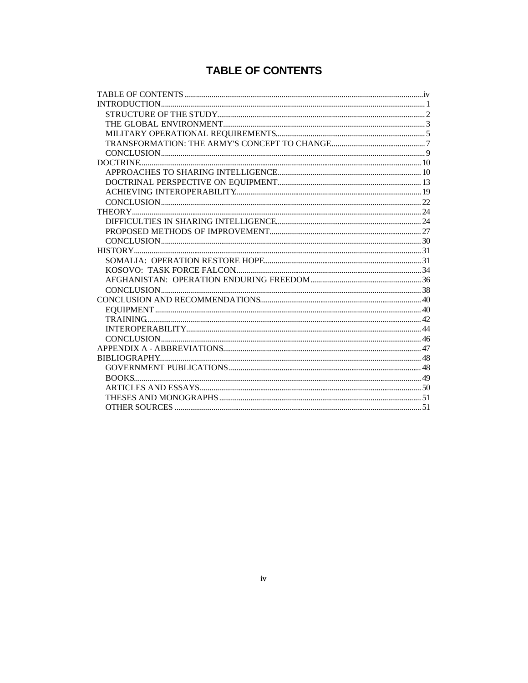## **TABLE OF CONTENTS**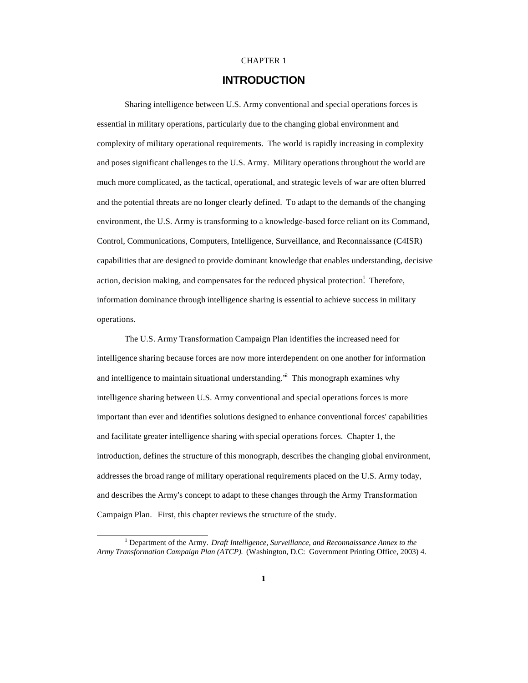#### CHAPTER 1

## **INTRODUCTION**

Sharing intelligence between U.S. Army conventional and special operations forces is essential in military operations, particularly due to the changing global environment and complexity of military operational requirements. The world is rapidly increasing in complexity and poses significant challenges to the U.S. Army. Military operations throughout the world are much more complicated, as the tactical, operational, and strategic levels of war are often blurred and the potential threats are no longer clearly defined. To adapt to the demands of the changing environment, the U.S. Army is transforming to a knowledge-based force reliant on its Command, Control, Communications, Computers, Intelligence, Surveillance, and Reconnaissance (C4ISR) capabilities that are designed to provide dominant knowledge that enables understanding, decisive action, decision making, and compensates for the reduced physical protection.<sup>1</sup> Therefore, information dominance through intelligence sharing is essential to achieve success in military operations.

The U.S. Army Transformation Campaign Plan identifies the increased need for intelligence sharing because forces are now more interdependent on one another for information and intelligence to maintain situational understanding.<sup>32</sup> This monograph examines why intelligence sharing between U.S. Army conventional and special operations forces is more important than ever and identifies solutions designed to enhance conventional forces' capabilities and facilitate greater intelligence sharing with special operations forces. Chapter 1, the introduction, defines the structure of this monograph, describes the changing global environment, addresses the broad range of military operational requirements placed on the U.S. Army today, and describes the Army's concept to adapt to these changes through the Army Transformation Campaign Plan. First, this chapter reviews the structure of the study.

<sup>1</sup> Department of the Army. *Draft Intelligence, Surveillance, and Reconnaissance Annex to the Army Transformation Campaign Plan (ATCP).* (Washington, D.C: Government Printing Office, 2003) 4.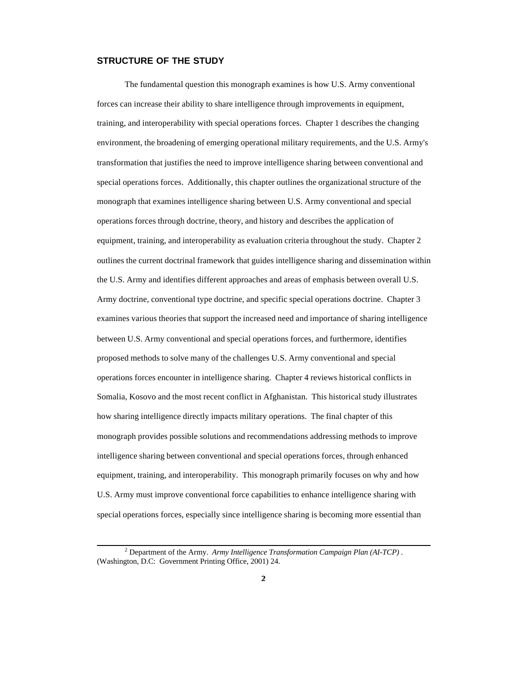#### **STRUCTURE OF THE STUDY**

The fundamental question this monograph examines is how U.S. Army conventional forces can increase their ability to share intelligence through improvements in equipment, training, and interoperability with special operations forces. Chapter 1 describes the changing environment, the broadening of emerging operational military requirements, and the U.S. Army's transformation that justifies the need to improve intelligence sharing between conventional and special operations forces. Additionally, this chapter outlines the organizational structure of the monograph that examines intelligence sharing between U.S. Army conventional and special operations forces through doctrine, theory, and history and describes the application of equipment, training, and interoperability as evaluation criteria throughout the study. Chapter 2 outlines the current doctrinal framework that guides intelligence sharing and dissemination within the U.S. Army and identifies different approaches and areas of emphasis between overall U.S. Army doctrine, conventional type doctrine, and specific special operations doctrine. Chapter 3 examines various theories that support the increased need and importance of sharing intelligence between U.S. Army conventional and special operations forces, and furthermore, identifies proposed methods to solve many of the challenges U.S. Army conventional and special operations forces encounter in intelligence sharing. Chapter 4 reviews historical conflicts in Somalia, Kosovo and the most recent conflict in Afghanistan. This historical study illustrates how sharing intelligence directly impacts military operations. The final chapter of this monograph provides possible solutions and recommendations addressing methods to improve intelligence sharing between conventional and special operations forces, through enhanced equipment, training, and interoperability. This monograph primarily focuses on why and how U.S. Army must improve conventional force capabilities to enhance intelligence sharing with special operations forces, especially since intelligence sharing is becoming more essential than

<sup>2</sup> Department of the Army. *Army Intelligence Transformation Campaign Plan (AI-TCP) .* (Washington, D.C: Government Printing Office, 2001) 24.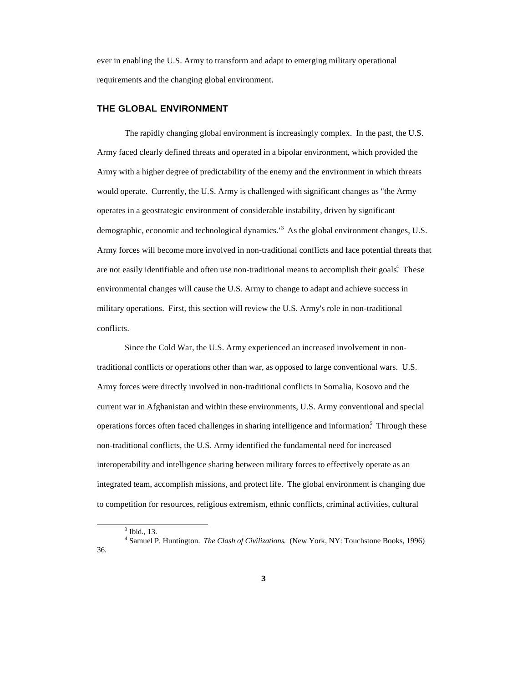ever in enabling the U.S. Army to transform and adapt to emerging military operational requirements and the changing global environment.

#### **THE GLOBAL ENVIRONMENT**

The rapidly changing global environment is increasingly complex. In the past, the U.S. Army faced clearly defined threats and operated in a bipolar environment, which provided the Army with a higher degree of predictability of the enemy and the environment in which threats would operate. Currently, the U.S. Army is challenged with significant changes as "the Army operates in a geostrategic environment of considerable instability, driven by significant demographic, economic and technological dynamics.<sup>13</sup> As the global environment changes, U.S. Army forces will become more involved in non-traditional conflicts and face potential threats that are not easily identifiable and often use non-traditional means to accomplish their goals.<sup>4</sup> These environmental changes will cause the U.S. Army to change to adapt and achieve success in military operations. First, this section will review the U.S. Army's role in non-traditional conflicts.

Since the Cold War, the U.S. Army experienced an increased involvement in nontraditional conflicts or operations other than war, as opposed to large conventional wars. U.S. Army forces were directly involved in non-traditional conflicts in Somalia, Kosovo and the current war in Afghanistan and within these environments, U.S. Army conventional and special operations forces often faced challenges in sharing intelligence and information.<sup>5</sup> Through these non-traditional conflicts, the U.S. Army identified the fundamental need for increased interoperability and intelligence sharing between military forces to effectively operate as an integrated team, accomplish missions, and protect life. The global environment is changing due to competition for resources, religious extremism, ethnic conflicts, criminal activities, cultural

<sup>3</sup> Ibid., 13.

<sup>4</sup> Samuel P. Huntington. *The Clash of Civilizations*. (New York, NY: Touchstone Books, 1996) 36.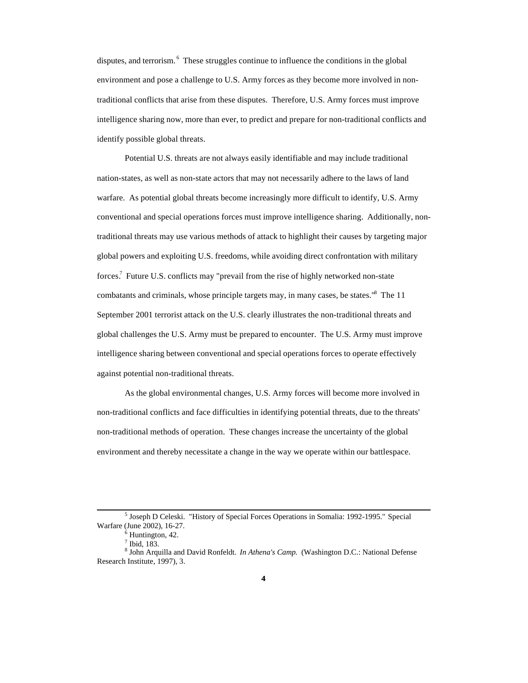disputes, and terrorism. <sup>6</sup> These struggles continue to influence the conditions in the global environment and pose a challenge to U.S. Army forces as they become more involved in nontraditional conflicts that arise from these disputes. Therefore, U.S. Army forces must improve intelligence sharing now, more than ever, to predict and prepare for non-traditional conflicts and identify possible global threats.

Potential U.S. threats are not always easily identifiable and may include traditional nation-states, as well as non-state actors that may not necessarily adhere to the laws of land warfare. As potential global threats become increasingly more difficult to identify, U.S. Army conventional and special operations forces must improve intelligence sharing. Additionally, nontraditional threats may use various methods of attack to highlight their causes by targeting major global powers and exploiting U.S. freedoms, while avoiding direct confrontation with military forces.<sup>7</sup> Future U.S. conflicts may "prevail from the rise of highly networked non-state combatants and criminals, whose principle targets may, in many cases, be states."<sup>8</sup> The 11 September 2001 terrorist attack on the U.S. clearly illustrates the non-traditional threats and global challenges the U.S. Army must be prepared to encounter. The U.S. Army must improve intelligence sharing between conventional and special operations forces to operate effectively against potential non-traditional threats.

As the global environmental changes, U.S. Army forces will become more involved in non-traditional conflicts and face difficulties in identifying potential threats, due to the threats' non-traditional methods of operation. These changes increase the uncertainty of the global environment and thereby necessitate a change in the way we operate within our battlespace.

<sup>&</sup>lt;sup>5</sup> Joseph D Celeski. "History of Special Forces Operations in Somalia: 1992-1995." Special Warfare (June 2002), 16-27.

 $<sup>6</sup>$  Huntington, 42.</sup>

<sup>7</sup> Ibid, 183.

<sup>8</sup> John Arquilla and David Ronfeldt. *In Athena's Camp*. (Washington D.C.: National Defense Research Institute, 1997), 3.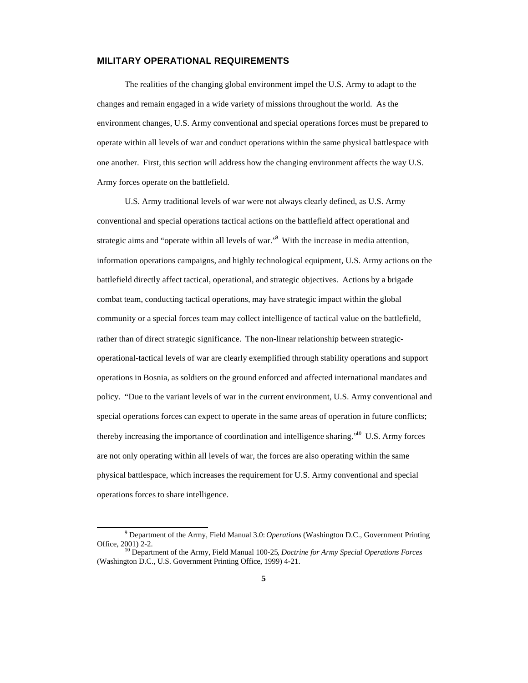#### **MILITARY OPERATIONAL REQUIREMENTS**

The realities of the changing global environment impel the U.S. Army to adapt to the changes and remain engaged in a wide variety of missions throughout the world. As the environment changes, U.S. Army conventional and special operations forces must be prepared to operate within all levels of war and conduct operations within the same physical battlespace with one another. First, this section will address how the changing environment affects the way U.S. Army forces operate on the battlefield.

U.S. Army traditional levels of war were not always clearly defined, as U.S. Army conventional and special operations tactical actions on the battlefield affect operational and strategic aims and "operate within all levels of war."<sup>9</sup> With the increase in media attention, information operations campaigns, and highly technological equipment, U.S. Army actions on the battlefield directly affect tactical, operational, and strategic objectives. Actions by a brigade combat team, conducting tactical operations, may have strategic impact within the global community or a special forces team may collect intelligence of tactical value on the battlefield, rather than of direct strategic significance. The non-linear relationship between strategicoperational-tactical levels of war are clearly exemplified through stability operations and support operations in Bosnia, as soldiers on the ground enforced and affected international mandates and policy. "Due to the variant levels of war in the current environment, U.S. Army conventional and special operations forces can expect to operate in the same areas of operation in future conflicts; thereby increasing the importance of coordination and intelligence sharing."<sup>10</sup> U.S. Army forces are not only operating within all levels of war, the forces are also operating within the same physical battlespace, which increases the requirement for U.S. Army conventional and special operations forces to share intelligence.

<sup>9</sup> Department of the Army, Field Manual 3.0: *Operations* (Washington D.C., Government Printing Office, 2001) 2-2.

<sup>10</sup> Department of the Army, Field Manual 100-25*, Doctrine for Army Special Operations Forces* (Washington D.C., U.S. Government Printing Office, 1999) 4-21.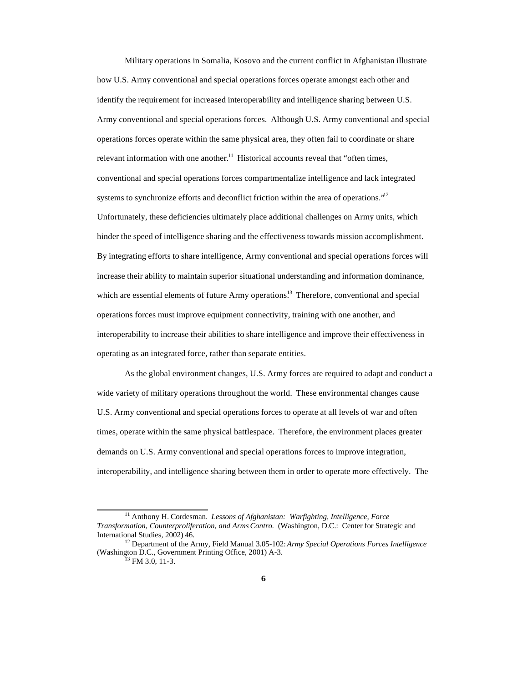Military operations in Somalia, Kosovo and the current conflict in Afghanistan illustrate how U.S. Army conventional and special operations forces operate amongst each other and identify the requirement for increased interoperability and intelligence sharing between U.S. Army conventional and special operations forces. Although U.S. Army conventional and special operations forces operate within the same physical area, they often fail to coordinate or share relevant information with one another.<sup>11</sup> Historical accounts reveal that "often times, conventional and special operations forces compartmentalize intelligence and lack integrated systems to synchronize efforts and deconflict friction within the area of operations.<sup>"12</sup> Unfortunately, these deficiencies ultimately place additional challenges on Army units, which hinder the speed of intelligence sharing and the effectiveness towards mission accomplishment. By integrating efforts to share intelligence, Army conventional and special operations forces will increase their ability to maintain superior situational understanding and information dominance, which are essential elements of future Army operations.<sup>13</sup> Therefore, conventional and special operations forces must improve equipment connectivity, training with one another, and interoperability to increase their abilities to share intelligence and improve their effectiveness in operating as an integrated force, rather than separate entities.

As the global environment changes, U.S. Army forces are required to adapt and conduct a wide variety of military operations throughout the world. These environmental changes cause U.S. Army conventional and special operations forces to operate at all levels of war and often times, operate within the same physical battlespace. Therefore, the environment places greater demands on U.S. Army conventional and special operations forces to improve integration, interoperability, and intelligence sharing between them in order to operate more effectively. The

<sup>11</sup> Anthony H. Cordesman. *Lessons of Afghanistan: Warfighting, Intelligence, Force Transformation, Counterproliferation, and Arms Contro.* (Washington, D.C.: Center for Strategic and International Studies, 2002) 46.

<sup>12</sup> Department of the Army, Field Manual 3.05-102: *Army Special Operations Forces Intelligence* (Washington D.C., Government Printing Office, 2001) A-3.

 $^{13}$  FM 3.0, 11-3.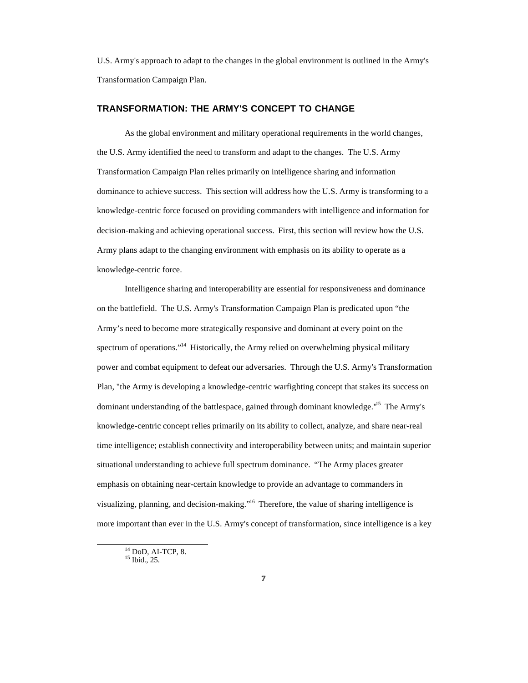U.S. Army's approach to adapt to the changes in the global environment is outlined in the Army's Transformation Campaign Plan.

#### **TRANSFORMATION: THE ARMY'S CONCEPT TO CHANGE**

As the global environment and military operational requirements in the world changes, the U.S. Army identified the need to transform and adapt to the changes. The U.S. Army Transformation Campaign Plan relies primarily on intelligence sharing and information dominance to achieve success. This section will address how the U.S. Army is transforming to a knowledge-centric force focused on providing commanders with intelligence and information for decision-making and achieving operational success. First, this section will review how the U.S. Army plans adapt to the changing environment with emphasis on its ability to operate as a knowledge-centric force.

Intelligence sharing and interoperability are essential for responsiveness and dominance on the battlefield. The U.S. Army's Transformation Campaign Plan is predicated upon "the Army's need to become more strategically responsive and dominant at every point on the spectrum of operations."<sup>14</sup> Historically, the Army relied on overwhelming physical military power and combat equipment to defeat our adversaries. Through the U.S. Army's Transformation Plan, "the Army is developing a knowledge-centric warfighting concept that stakes its success on dominant understanding of the battlespace, gained through dominant knowledge."<sup>15</sup> The Army's knowledge-centric concept relies primarily on its ability to collect, analyze, and share near-real time intelligence; establish connectivity and interoperability between units; and maintain superior situational understanding to achieve full spectrum dominance. "The Army places greater emphasis on obtaining near-certain knowledge to provide an advantage to commanders in visualizing, planning, and decision-making."<sup>16</sup> Therefore, the value of sharing intelligence is more important than ever in the U.S. Army's concept of transformation, since intelligence is a key

<sup>14</sup> DoD, AI-TCP, 8.

<sup>&</sup>lt;sup>15</sup> Ibid., 25.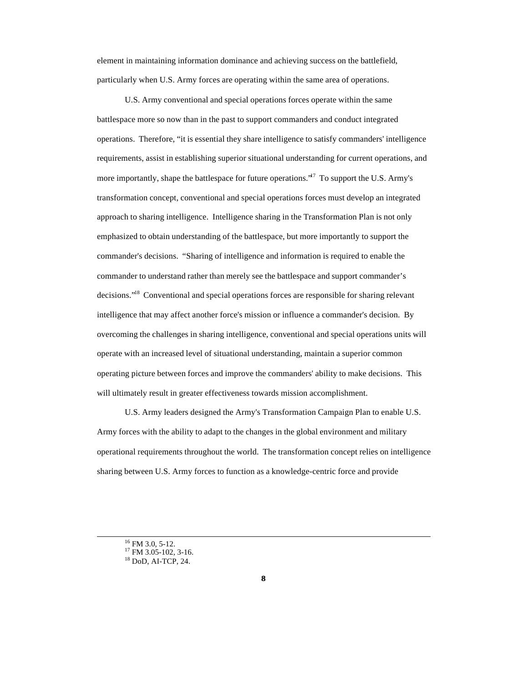element in maintaining information dominance and achieving success on the battlefield, particularly when U.S. Army forces are operating within the same area of operations.

U.S. Army conventional and special operations forces operate within the same battlespace more so now than in the past to support commanders and conduct integrated operations. Therefore, "it is essential they share intelligence to satisfy commanders' intelligence requirements, assist in establishing superior situational understanding for current operations, and more importantly, shape the battlespace for future operations.<sup>17</sup> To support the U.S. Army's transformation concept, conventional and special operations forces must develop an integrated approach to sharing intelligence. Intelligence sharing in the Transformation Plan is not only emphasized to obtain understanding of the battlespace, but more importantly to support the commander's decisions. "Sharing of intelligence and information is required to enable the commander to understand rather than merely see the battlespace and support commander's decisions."<sup>18</sup> Conventional and special operations forces are responsible for sharing relevant intelligence that may affect another force's mission or influence a commander's decision. By overcoming the challenges in sharing intelligence, conventional and special operations units will operate with an increased level of situational understanding, maintain a superior common operating picture between forces and improve the commanders' ability to make decisions. This will ultimately result in greater effectiveness towards mission accomplishment.

U.S. Army leaders designed the Army's Transformation Campaign Plan to enable U.S. Army forces with the ability to adapt to the changes in the global environment and military operational requirements throughout the world. The transformation concept relies on intelligence sharing between U.S. Army forces to function as a knowledge-centric force and provide

 $16$  FM 3.0, 5-12.

<sup>&</sup>lt;sup>17</sup> FM 3.05-102, 3-16.

<sup>18</sup> DoD, AI-TCP, 24.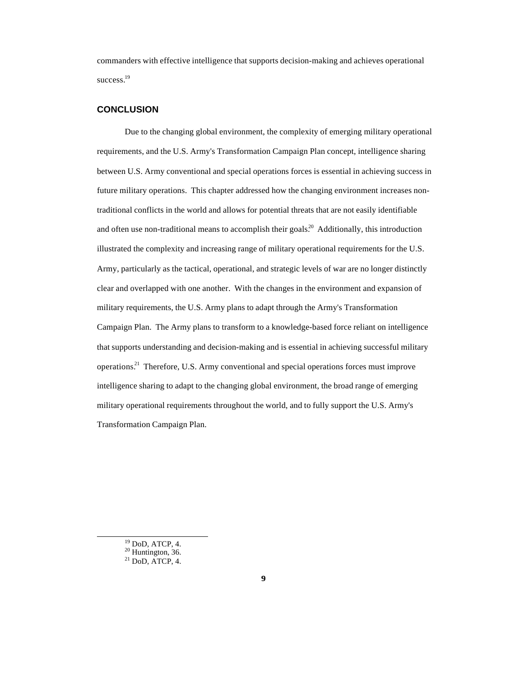commanders with effective intelligence that supports decision-making and achieves operational success.<sup>19</sup>

#### **CONCLUSION**

Due to the changing global environment, the complexity of emerging military operational requirements, and the U.S. Army's Transformation Campaign Plan concept, intelligence sharing between U.S. Army conventional and special operations forces is essential in achieving success in future military operations. This chapter addressed how the changing environment increases nontraditional conflicts in the world and allows for potential threats that are not easily identifiable and often use non-traditional means to accomplish their goals.<sup>20</sup> Additionally, this introduction illustrated the complexity and increasing range of military operational requirements for the U.S. Army, particularly as the tactical, operational, and strategic levels of war are no longer distinctly clear and overlapped with one another. With the changes in the environment and expansion of military requirements, the U.S. Army plans to adapt through the Army's Transformation Campaign Plan. The Army plans to transform to a knowledge-based force reliant on intelligence that supports understanding and decision-making and is essential in achieving successful military operations.<sup>21</sup> Therefore, U.S. Army conventional and special operations forces must improve intelligence sharing to adapt to the changing global environment, the broad range of emerging military operational requirements throughout the world, and to fully support the U.S. Army's Transformation Campaign Plan.

 $19$  DoD, ATCP, 4.

 $20$  Huntington, 36.

 $21$  DoD, ATCP, 4.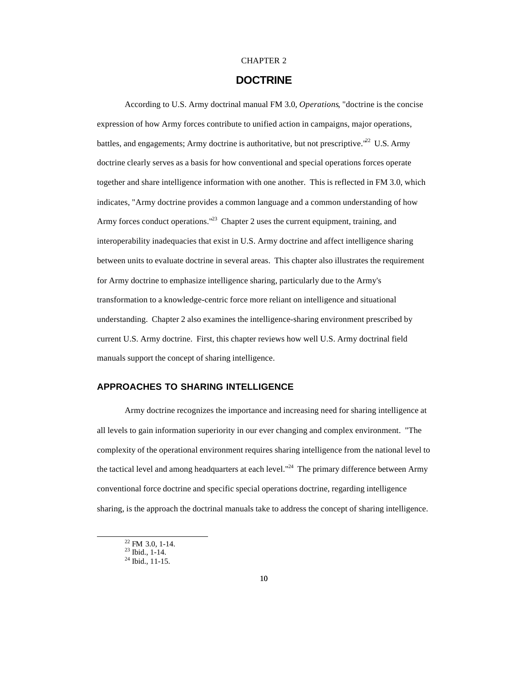#### CHAPTER 2

## **DOCTRINE**

According to U.S. Army doctrinal manual FM 3.0, *Operations*, "doctrine is the concise expression of how Army forces contribute to unified action in campaigns, major operations, battles, and engagements; Army doctrine is authoritative, but not prescriptive."<sup>22</sup> U.S. Army doctrine clearly serves as a basis for how conventional and special operations forces operate together and share intelligence information with one another. This is reflected in FM 3.0, which indicates, "Army doctrine provides a common language and a common understanding of how Army forces conduct operations."<sup>23</sup> Chapter 2 uses the current equipment, training, and interoperability inadequacies that exist in U.S. Army doctrine and affect intelligence sharing between units to evaluate doctrine in several areas. This chapter also illustrates the requirement for Army doctrine to emphasize intelligence sharing, particularly due to the Army's transformation to a knowledge-centric force more reliant on intelligence and situational understanding. Chapter 2 also examines the intelligence-sharing environment prescribed by current U.S. Army doctrine. First, this chapter reviews how well U.S. Army doctrinal field manuals support the concept of sharing intelligence.

#### **APPROACHES TO SHARING INTELLIGENCE**

Army doctrine recognizes the importance and increasing need for sharing intelligence at all levels to gain information superiority in our ever changing and complex environment. "The complexity of the operational environment requires sharing intelligence from the national level to the tactical level and among headquarters at each level."<sup>24</sup> The primary difference between Army conventional force doctrine and specific special operations doctrine, regarding intelligence sharing, is the approach the doctrinal manuals take to address the concept of sharing intelligence.

 $22$  FM 3.0, 1-14.

 $23$  Ibid., 1-14.

 $24$  Ibid., 11-15.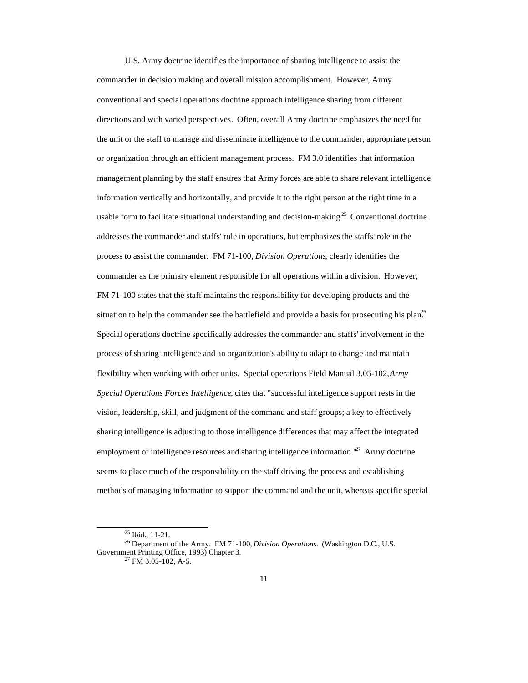U.S. Army doctrine identifies the importance of sharing intelligence to assist the commander in decision making and overall mission accomplishment. However, Army conventional and special operations doctrine approach intelligence sharing from different directions and with varied perspectives. Often, overall Army doctrine emphasizes the need for the unit or the staff to manage and disseminate intelligence to the commander, appropriate person or organization through an efficient management process. FM 3.0 identifies that information management planning by the staff ensures that Army forces are able to share relevant intelligence information vertically and horizontally, and provide it to the right person at the right time in a usable form to facilitate situational understanding and decision-making.<sup>25</sup> Conventional doctrine addresses the commander and staffs' role in operations, but emphasizes the staffs' role in the process to assist the commander. FM 71-100, *Division Operations*, clearly identifies the commander as the primary element responsible for all operations within a division. However, FM 71-100 states that the staff maintains the responsibility for developing products and the situation to help the commander see the battlefield and provide a basis for prosecuting his plan.<sup>26</sup> Special operations doctrine specifically addresses the commander and staffs' involvement in the process of sharing intelligence and an organization's ability to adapt to change and maintain flexibility when working with other units. Special operations Field Manual 3.05-102, *Army Special Operations Forces Intelligence*, cites that "successful intelligence support rests in the vision, leadership, skill, and judgment of the command and staff groups; a key to effectively sharing intelligence is adjusting to those intelligence differences that may affect the integrated employment of intelligence resources and sharing intelligence information.<sup>"27</sup> Army doctrine seems to place much of the responsibility on the staff driving the process and establishing methods of managing information to support the command and the unit, whereas specific special

<sup>25</sup> Ibid., 11-21.

<sup>26</sup> Department of the Army. FM 71-100, *Division Operations.* (Washington D.C., U.S. Government Printing Office, 1993) Chapter 3.

 $27$  FM 3.05-102, A-5.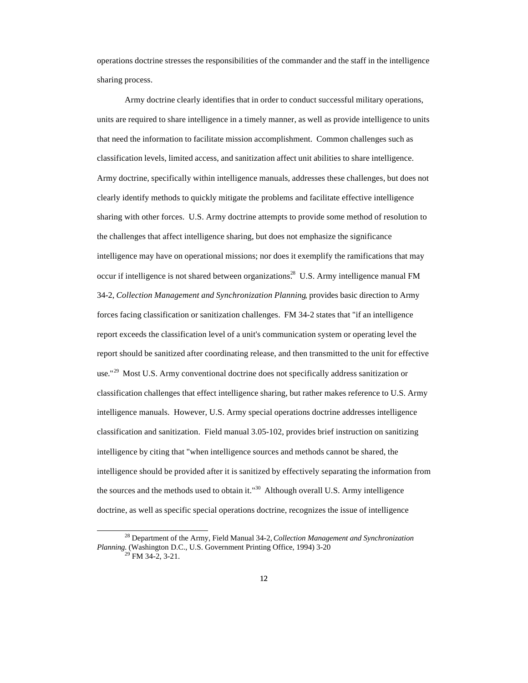operations doctrine stresses the responsibilities of the commander and the staff in the intelligence sharing process.

Army doctrine clearly identifies that in order to conduct successful military operations, units are required to share intelligence in a timely manner, as well as provide intelligence to units that need the information to facilitate mission accomplishment. Common challenges such as classification levels, limited access, and sanitization affect unit abilities to share intelligence. Army doctrine, specifically within intelligence manuals, addresses these challenges, but does not clearly identify methods to quickly mitigate the problems and facilitate effective intelligence sharing with other forces. U.S. Army doctrine attempts to provide some method of resolution to the challenges that affect intelligence sharing, but does not emphasize the significance intelligence may have on operational missions; nor does it exemplify the ramifications that may occur if intelligence is not shared between organizations.<sup>28</sup> U.S. Army intelligence manual FM 34-2, *Collection Management and Synchronization Planning*, provides basic direction to Army forces facing classification or sanitization challenges. FM 34-2 states that "if an intelligence report exceeds the classification level of a unit's communication system or operating level the report should be sanitized after coordinating release, and then transmitted to the unit for effective use."<sup>29</sup> Most U.S. Army conventional doctrine does not specifically address sanitization or classification challenges that effect intelligence sharing, but rather makes reference to U.S. Army intelligence manuals. However, U.S. Army special operations doctrine addresses intelligence classification and sanitization. Field manual 3.05-102, provides brief instruction on sanitizing intelligence by citing that "when intelligence sources and methods cannot be shared, the intelligence should be provided after it is sanitized by effectively separating the information from the sources and the methods used to obtain it."<sup>30</sup> Although overall U.S. Army intelligence doctrine, as well as specific special operations doctrine, recognizes the issue of intelligence

<sup>28</sup> Department of the Army, Field Manual 34-2, *Collection Management and Synchronization Planning.* (Washington D.C., U.S. Government Printing Office, 1994) 3-20

 $\overline{9}$  FM 34-2, 3-21.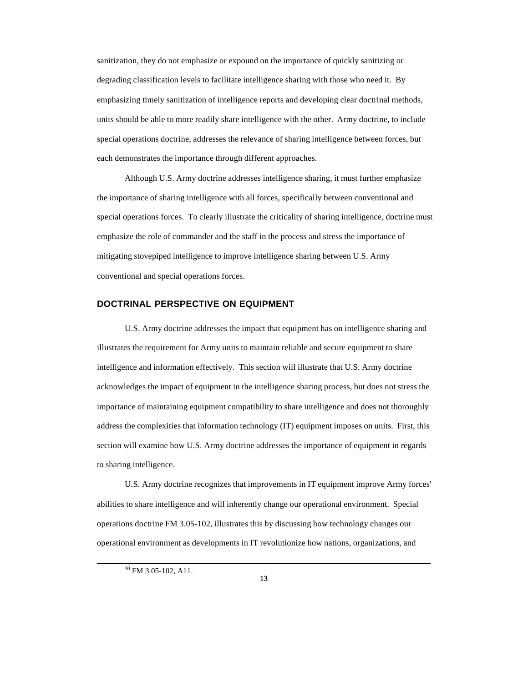sanitization, they do not emphasize or expound on the importance of quickly sanitizing or degrading classification levels to facilitate intelligence sharing with those who need it. By emphasizing timely sanitization of intelligence reports and developing clear doctrinal methods, units should be able to more readily share intelligence with the other. Army doctrine, to include special operations doctrine, addresses the relevance of sharing intelligence between forces, but each demonstrates the importance through different approaches.

Although U.S. Army doctrine addresses intelligence sharing, it must further emphasize the importance of sharing intelligence with all forces, specifically between conventional and special operations forces. To clearly illustrate the criticality of sharing intelligence, doctrine must emphasize the role of commander and the staff in the process and stress the importance of mitigating stovepiped intelligence to improve intelligence sharing between U.S. Army conventional and special operations forces.

#### **DOCTRINAL PERSPECTIVE ON EQUIPMENT**

U.S. Army doctrine addresses the impact that equipment has on intelligence sharing and illustrates the requirement for Army units to maintain reliable and secure equipment to share intelligence and information effectively. This section will illustrate that U.S. Army doctrine acknowledges the impact of equipment in the intelligence sharing process, but does not stress the importance of maintaining equipment compatibility to share intelligence and does not thoroughly address the complexities that information technology (IT) equipment imposes on units. First, this section will examine how U.S. Army doctrine addresses the importance of equipment in regards to sharing intelligence.

U.S. Army doctrine recognizes that improvements in IT equipment improve Army forces' abilities to share intelligence and will inherently change our operational environment. Special operations doctrine FM 3.05-102, illustrates this by discussing how technology changes our operational environment as developments in IT revolutionize how nations, organizations, and

<sup>30</sup> FM 3.05-102, A11.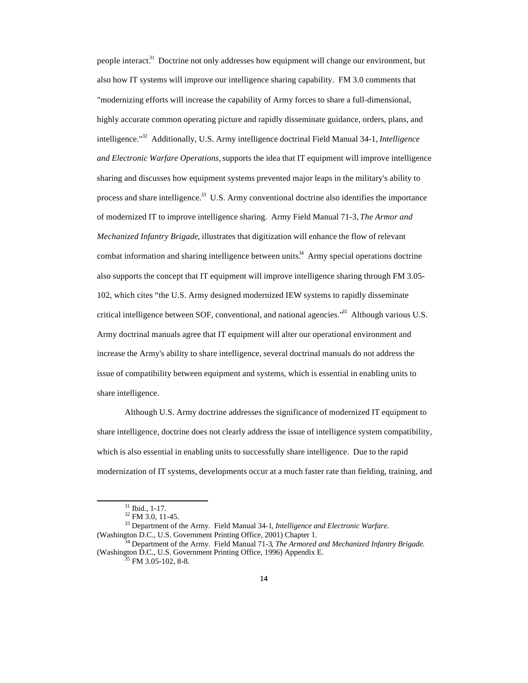people interact.<sup>31</sup> Doctrine not only addresses how equipment will change our environment, but also how IT systems will improve our intelligence sharing capability. FM 3.0 comments that "modernizing efforts will increase the capability of Army forces to share a full-dimensional, highly accurate common operating picture and rapidly disseminate guidance, orders, plans, and intelligence."<sup>32</sup> Additionally, U.S. Army intelligence doctrinal Field Manual 34-1, *Intelligence and Electronic Warfare Operations,* supports the idea that IT equipment will improve intelligence sharing and discusses how equipment systems prevented major leaps in the military's ability to process and share intelligence.<sup>33</sup> U.S. Army conventional doctrine also identifies the importance of modernized IT to improve intelligence sharing. Army Field Manual 71-3, *The Armor and Mechanized Infantry Brigade*, illustrates that digitization will enhance the flow of relevant combat information and sharing intelligence between units.<sup>34</sup> Army special operations doctrine also supports the concept that IT equipment will improve intelligence sharing through FM 3.05- 102, which cites "the U.S. Army designed modernized IEW systems to rapidly disseminate critical intelligence between SOF, conventional, and national agencies."<sup>35</sup> Although various U.S. Army doctrinal manuals agree that IT equipment will alter our operational environment and increase the Army's ability to share intelligence, several doctrinal manuals do not address the issue of compatibility between equipment and systems, which is essential in enabling units to share intelligence.

Although U.S. Army doctrine addresses the significance of modernized IT equipment to share intelligence, doctrine does not clearly address the issue of intelligence system compatibility, which is also essential in enabling units to successfully share intelligence. Due to the rapid modernization of IT systems, developments occur at a much faster rate than fielding, training, and

<sup>31</sup> Ibid., 1-17.

 $32$  FM 3.0, 11-45.

<sup>33</sup> Department of the Army. Field Manual 34-1*, Intelligence and Electronic Warfare.* (Washington D.C., U.S. Government Printing Office, 2001) Chapter 1.

<sup>34</sup> Department of the Army. Field Manual 71-3*, The Armored and Mechanized Infantry Brigade.* (Washington D.C., U.S. Government Printing Office, 1996) Appendix E.

 $35$  FM 3.05-102, 8-8.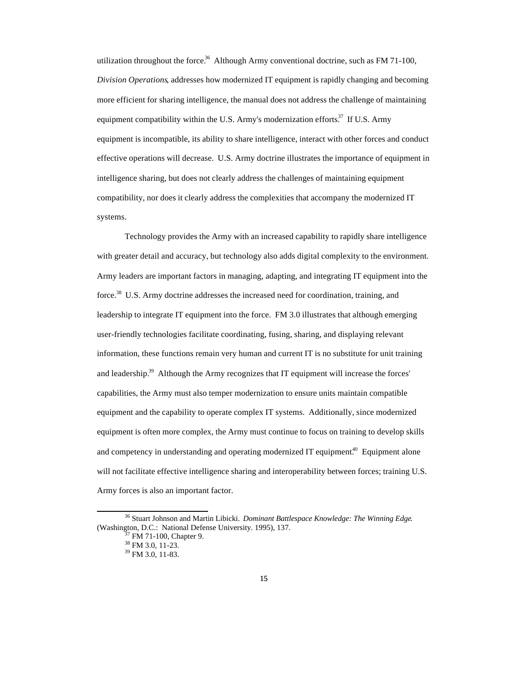utilization throughout the force.<sup>36</sup> Although Army conventional doctrine, such as FM 71-100, *Division Operations*, addresses how modernized IT equipment is rapidly changing and becoming more efficient for sharing intelligence, the manual does not address the challenge of maintaining equipment compatibility within the U.S. Army's modernization efforts.<sup>37</sup> If U.S. Army equipment is incompatible, its ability to share intelligence, interact with other forces and conduct effective operations will decrease. U.S. Army doctrine illustrates the importance of equipment in intelligence sharing, but does not clearly address the challenges of maintaining equipment compatibility, nor does it clearly address the complexities that accompany the modernized IT systems.

Technology provides the Army with an increased capability to rapidly share intelligence with greater detail and accuracy, but technology also adds digital complexity to the environment. Army leaders are important factors in managing, adapting, and integrating IT equipment into the force.<sup>38</sup> U.S. Army doctrine addresses the increased need for coordination, training, and leadership to integrate IT equipment into the force. FM 3.0 illustrates that although emerging user-friendly technologies facilitate coordinating, fusing, sharing, and displaying relevant information, these functions remain very human and current IT is no substitute for unit training and leadership.<sup>39</sup> Although the Army recognizes that IT equipment will increase the forces' capabilities, the Army must also temper modernization to ensure units maintain compatible equipment and the capability to operate complex IT systems. Additionally, since modernized equipment is often more complex, the Army must continue to focus on training to develop skills and competency in understanding and operating modernized IT equipment.<sup>40</sup> Equipment alone will not facilitate effective intelligence sharing and interoperability between forces; training U.S. Army forces is also an important factor.

<sup>36</sup> Stuart Johnson and Martin Libicki. *Dominant Battlespace Knowledge: The Winning Edge*. (Washington, D.C.: National Defense University. 1995), 137.

FM 71-100, Chapter 9.

 $38$  FM 3.0, 11-23.

<sup>39</sup> FM 3.0, 11-83.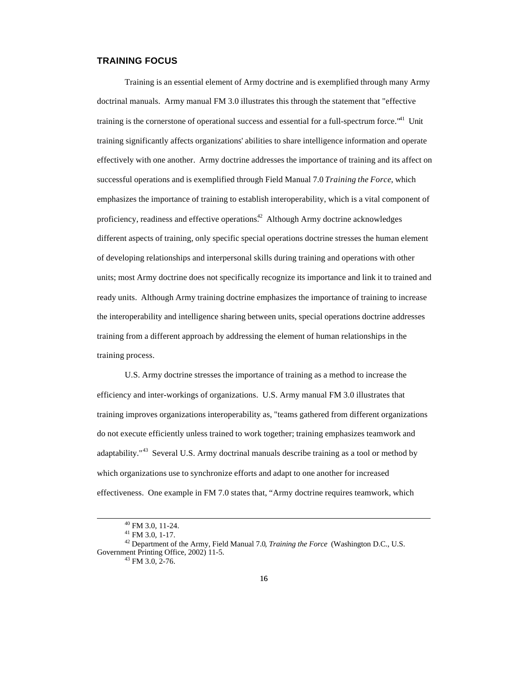#### **TRAINING FOCUS**

Training is an essential element of Army doctrine and is exemplified through many Army doctrinal manuals. Army manual FM 3.0 illustrates this through the statement that "effective training is the cornerstone of operational success and essential for a full-spectrum force." $4<sup>1</sup>$  Unit training significantly affects organizations' abilities to share intelligence information and operate effectively with one another. Army doctrine addresses the importance of training and its affect on successful operations and is exemplified through Field Manual 7.0 *Training the Force*, which emphasizes the importance of training to establish interoperability, which is a vital component of proficiency, readiness and effective operations.<sup>42</sup> Although Army doctrine acknowledges different aspects of training, only specific special operations doctrine stresses the human element of developing relationships and interpersonal skills during training and operations with other units; most Army doctrine does not specifically recognize its importance and link it to trained and ready units. Although Army training doctrine emphasizes the importance of training to increase the interoperability and intelligence sharing between units, special operations doctrine addresses training from a different approach by addressing the element of human relationships in the training process.

U.S. Army doctrine stresses the importance of training as a method to increase the efficiency and inter-workings of organizations. U.S. Army manual FM 3.0 illustrates that training improves organizations interoperability as, "teams gathered from different organizations do not execute efficiently unless trained to work together; training emphasizes teamwork and adaptability."<sup>43</sup> Several U.S. Army doctrinal manuals describe training as a tool or method by which organizations use to synchronize efforts and adapt to one another for increased effectiveness. One example in FM 7.0 states that, "Army doctrine requires teamwork, which

<sup>40</sup> FM 3.0, 11-24.

 $41$  FM 3.0, 1-17.

<sup>42</sup> Department of the Army, Field Manual 7.0*, Training the Force* (Washington D.C., U.S. Government Printing Office, 2002) 11-5.

 $43$  FM 3.0, 2-76.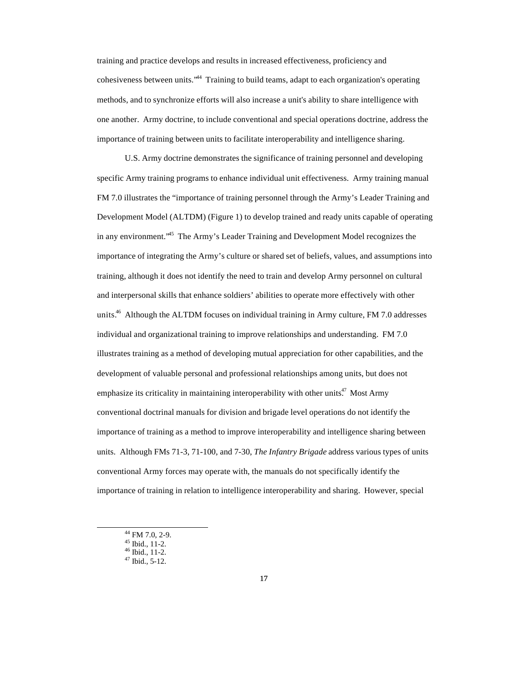training and practice develops and results in increased effectiveness, proficiency and cohesiveness between units."<sup>44</sup> Training to build teams, adapt to each organization's operating methods, and to synchronize efforts will also increase a unit's ability to share intelligence with one another. Army doctrine, to include conventional and special operations doctrine, address the importance of training between units to facilitate interoperability and intelligence sharing.

U.S. Army doctrine demonstrates the significance of training personnel and developing specific Army training programs to enhance individual unit effectiveness. Army training manual FM 7.0 illustrates the "importance of training personnel through the Army's Leader Training and Development Model (ALTDM) (Figure 1) to develop trained and ready units capable of operating in any environment.<sup>345</sup> The Army's Leader Training and Development Model recognizes the importance of integrating the Army's culture or shared set of beliefs, values, and assumptions into training, although it does not identify the need to train and develop Army personnel on cultural and interpersonal skills that enhance soldiers' abilities to operate more effectively with other units.<sup>46</sup> Although the ALTDM focuses on individual training in Army culture, FM 7.0 addresses individual and organizational training to improve relationships and understanding. FM 7.0 illustrates training as a method of developing mutual appreciation for other capabilities, and the development of valuable personal and professional relationships among units, but does not emphasize its criticality in maintaining interoperability with other units.<sup>47</sup> Most Army conventional doctrinal manuals for division and brigade level operations do not identify the importance of training as a method to improve interoperability and intelligence sharing between units. Although FMs 71-3, 71-100, and 7-30, *The Infantry Brigade* address various types of units conventional Army forces may operate with, the manuals do not specifically identify the importance of training in relation to intelligence interoperability and sharing. However, special

<sup>44</sup> FM 7.0, 2-9.

 $45$  Ibid., 11-2.

 $46$  Ibid., 11-2.

 $47$  Ibid., 5-12.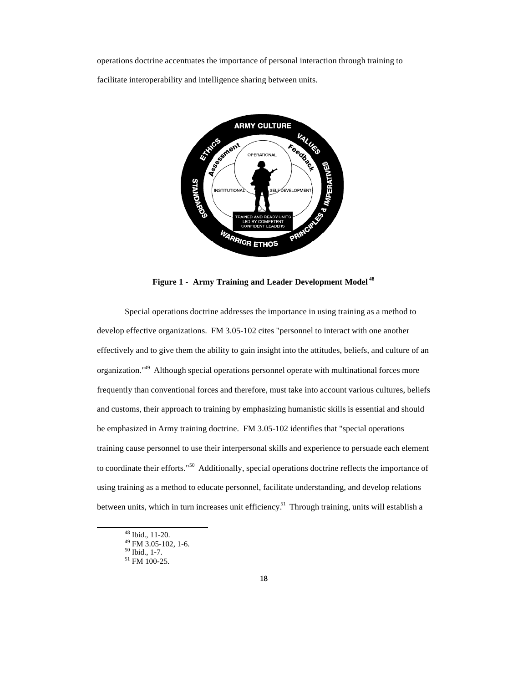operations doctrine accentuates the importance of personal interaction through training to facilitate interoperability and intelligence sharing between units.



**Figure 1 - Army Training and Leader Development Model <sup>48</sup>**

Special operations doctrine addresses the importance in using training as a method to develop effective organizations. FM 3.05-102 cites "personnel to interact with one another effectively and to give them the ability to gain insight into the attitudes, beliefs, and culture of an organization."<sup>49</sup> Although special operations personnel operate with multinational forces more frequently than conventional forces and therefore, must take into account various cultures, beliefs and customs, their approach to training by emphasizing humanistic skills is essential and should be emphasized in Army training doctrine. FM 3.05-102 identifies that "special operations training cause personnel to use their interpersonal skills and experience to persuade each element to coordinate their efforts."<sup>50</sup> Additionally, special operations doctrine reflects the importance of using training as a method to educate personnel, facilitate understanding, and develop relations between units, which in turn increases unit efficiency.<sup>51</sup> Through training, units will establish a

<sup>48</sup> Ibid., 11-20.

 $49$  FM 3.05-102, 1-6.

<sup>50</sup> Ibid., 1-7.

<sup>51</sup> FM 100-25.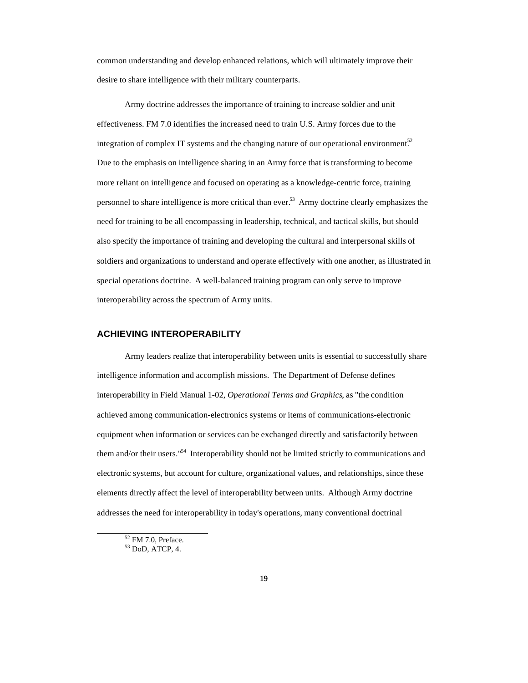common understanding and develop enhanced relations, which will ultimately improve their desire to share intelligence with their military counterparts.

Army doctrine addresses the importance of training to increase soldier and unit effectiveness. FM 7.0 identifies the increased need to train U.S. Army forces due to the integration of complex IT systems and the changing nature of our operational environment.<sup>52</sup> Due to the emphasis on intelligence sharing in an Army force that is transforming to become more reliant on intelligence and focused on operating as a knowledge-centric force, training personnel to share intelligence is more critical than ever.<sup>53</sup> Army doctrine clearly emphasizes the need for training to be all encompassing in leadership, technical, and tactical skills, but should also specify the importance of training and developing the cultural and interpersonal skills of soldiers and organizations to understand and operate effectively with one another, as illustrated in special operations doctrine. A well-balanced training program can only serve to improve interoperability across the spectrum of Army units.

#### **ACHIEVING INTEROPERABILITY**

Army leaders realize that interoperability between units is essential to successfully share intelligence information and accomplish missions. The Department of Defense defines interoperability in Field Manual 1-02, *Operational Terms and Graphics*, as "the condition achieved among communication-electronics systems or items of communications-electronic equipment when information or services can be exchanged directly and satisfactorily between them and/or their users."<sup>54</sup> Interoperability should not be limited strictly to communications and electronic systems, but account for culture, organizational values, and relationships, since these elements directly affect the level of interoperability between units. Although Army doctrine addresses the need for interoperability in today's operations, many conventional doctrinal

<sup>52</sup> FM 7.0, Preface.

<sup>53</sup> DoD, ATCP, 4.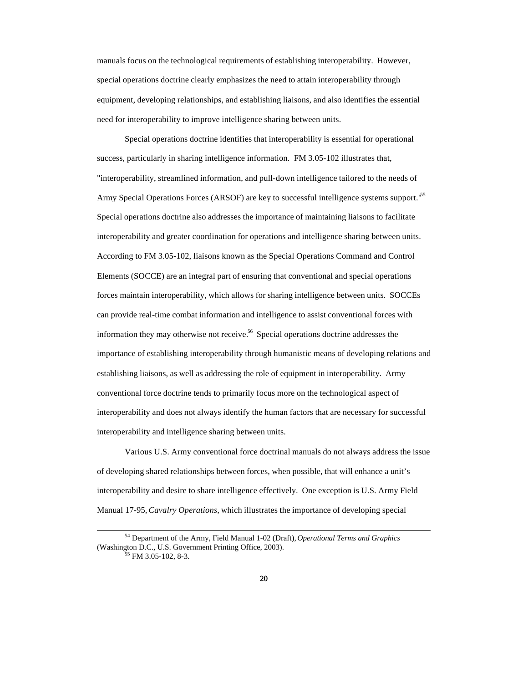manuals focus on the technological requirements of establishing interoperability. However, special operations doctrine clearly emphasizes the need to attain interoperability through equipment, developing relationships, and establishing liaisons, and also identifies the essential need for interoperability to improve intelligence sharing between units.

Special operations doctrine identifies that interoperability is essential for operational success, particularly in sharing intelligence information. FM 3.05-102 illustrates that, "interoperability, streamlined information, and pull-down intelligence tailored to the needs of Army Special Operations Forces (ARSOF) are key to successful intelligence systems support.<sup>65</sup> Special operations doctrine also addresses the importance of maintaining liaisons to facilitate interoperability and greater coordination for operations and intelligence sharing between units. According to FM 3.05-102, liaisons known as the Special Operations Command and Control Elements (SOCCE) are an integral part of ensuring that conventional and special operations forces maintain interoperability, which allows for sharing intelligence between units. SOCCEs can provide real-time combat information and intelligence to assist conventional forces with information they may otherwise not receive.<sup>56</sup> Special operations doctrine addresses the importance of establishing interoperability through humanistic means of developing relations and establishing liaisons, as well as addressing the role of equipment in interoperability. Army conventional force doctrine tends to primarily focus more on the technological aspect of interoperability and does not always identify the human factors that are necessary for successful interoperability and intelligence sharing between units.

Various U.S. Army conventional force doctrinal manuals do not always address the issue of developing shared relationships between forces, when possible, that will enhance a unit's interoperability and desire to share intelligence effectively. One exception is U.S. Army Field Manual 17-95, *Cavalry Operations,* which illustrates the importance of developing special

<sup>54</sup> Department of the Army, Field Manual 1-02 (Draft), *Operational Terms and Graphics* (Washington D.C., U.S. Government Printing Office, 2003).

 $5$  FM 3.05-102, 8-3.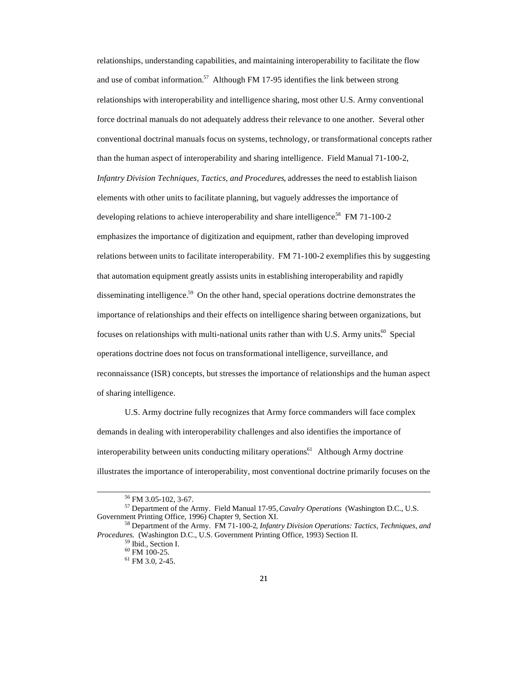relationships, understanding capabilities, and maintaining interoperability to facilitate the flow and use of combat information.<sup>57</sup> Although FM 17-95 identifies the link between strong relationships with interoperability and intelligence sharing, most other U.S. Army conventional force doctrinal manuals do not adequately address their relevance to one another. Several other conventional doctrinal manuals focus on systems, technology, or transformational concepts rather than the human aspect of interoperability and sharing intelligence. Field Manual 71-100-2, *Infantry Division Techniques, Tactics, and Procedures*, addresses the need to establish liaison elements with other units to facilitate planning, but vaguely addresses the importance of developing relations to achieve interoperability and share intelligence.<sup>58</sup> FM 71-100-2 emphasizes the importance of digitization and equipment, rather than developing improved relations between units to facilitate interoperability. FM 71-100-2 exemplifies this by suggesting that automation equipment greatly assists units in establishing interoperability and rapidly disseminating intelligence.<sup>59</sup> On the other hand, special operations doctrine demonstrates the importance of relationships and their effects on intelligence sharing between organizations, but focuses on relationships with multi-national units rather than with U.S. Army units.<sup>60</sup> Special operations doctrine does not focus on transformational intelligence, surveillance, and reconnaissance (ISR) concepts, but stresses the importance of relationships and the human aspect of sharing intelligence.

U.S. Army doctrine fully recognizes that Army force commanders will face complex demands in dealing with interoperability challenges and also identifies the importance of interoperability between units conducting military operations.<sup>61</sup> Although Army doctrine illustrates the importance of interoperability, most conventional doctrine primarily focuses on the

<sup>56</sup> FM 3.05-102, 3-67.

<sup>57</sup> Department of the Army. Field Manual 17-95, *Cavalry Operations* (Washington D.C., U.S. Government Printing Office, 1996) Chapter 9, Section XI.

<sup>58</sup> Department of the Army. FM 71-100-2*, Infantry Division Operations: Tactics, Techniques, and Procedures.* (Washington D.C., U.S. Government Printing Office, 1993) Section II.

<sup>59</sup> Ibid., Section I.

<sup>60</sup> FM 100-25.

<sup>61</sup> FM 3.0, 2-45.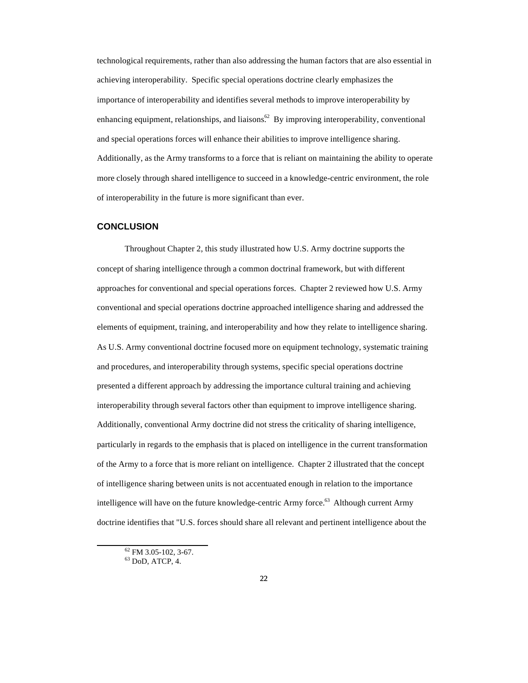technological requirements, rather than also addressing the human factors that are also essential in achieving interoperability. Specific special operations doctrine clearly emphasizes the importance of interoperability and identifies several methods to improve interoperability by enhancing equipment, relationships, and liaisons.<sup>62</sup> By improving interoperability, conventional and special operations forces will enhance their abilities to improve intelligence sharing. Additionally, as the Army transforms to a force that is reliant on maintaining the ability to operate more closely through shared intelligence to succeed in a knowledge-centric environment, the role of interoperability in the future is more significant than ever.

#### **CONCLUSION**

Throughout Chapter 2, this study illustrated how U.S. Army doctrine supports the concept of sharing intelligence through a common doctrinal framework, but with different approaches for conventional and special operations forces. Chapter 2 reviewed how U.S. Army conventional and special operations doctrine approached intelligence sharing and addressed the elements of equipment, training, and interoperability and how they relate to intelligence sharing. As U.S. Army conventional doctrine focused more on equipment technology, systematic training and procedures, and interoperability through systems, specific special operations doctrine presented a different approach by addressing the importance cultural training and achieving interoperability through several factors other than equipment to improve intelligence sharing. Additionally, conventional Army doctrine did not stress the criticality of sharing intelligence, particularly in regards to the emphasis that is placed on intelligence in the current transformation of the Army to a force that is more reliant on intelligence. Chapter 2 illustrated that the concept of intelligence sharing between units is not accentuated enough in relation to the importance intelligence will have on the future knowledge-centric Army force.<sup>63</sup> Although current Army doctrine identifies that "U.S. forces should share all relevant and pertinent intelligence about the

<sup>62</sup> FM 3.05-102, 3-67.  $63$  DoD, ATCP, 4.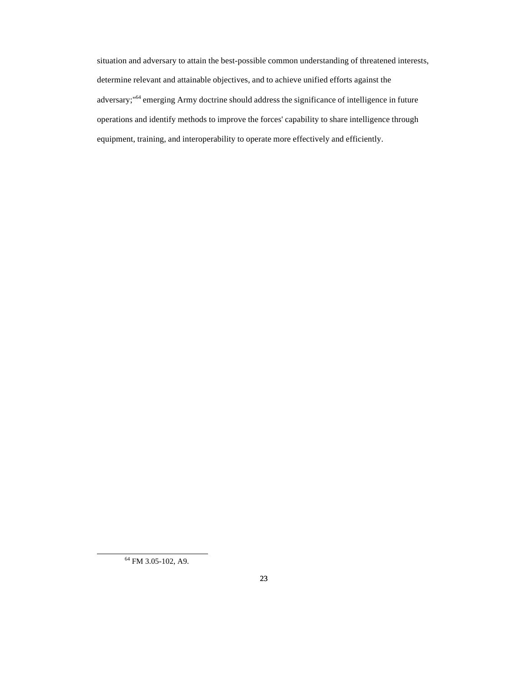situation and adversary to attain the best-possible common understanding of threatened interests, determine relevant and attainable objectives, and to achieve unified efforts against the adversary;"<sup>64</sup> emerging Army doctrine should address the significance of intelligence in future operations and identify methods to improve the forces' capability to share intelligence through equipment, training, and interoperability to operate more effectively and efficiently.

<sup>&</sup>lt;sup>64</sup> FM 3.05-102, A9.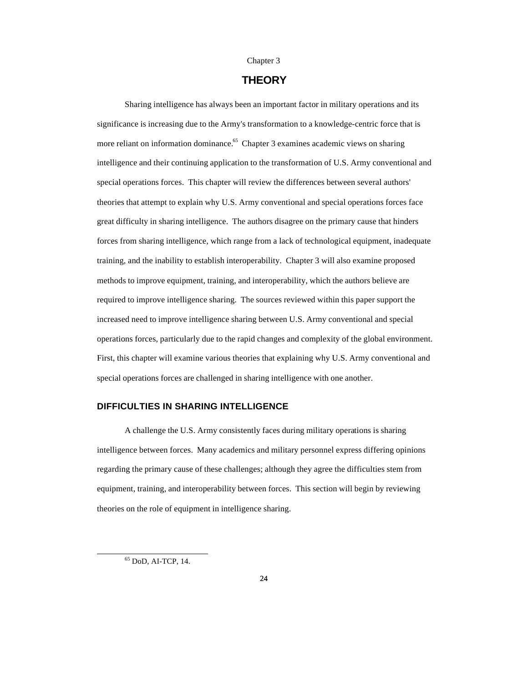#### Chapter 3

## **THEORY**

Sharing intelligence has always been an important factor in military operations and its significance is increasing due to the Army's transformation to a knowledge-centric force that is more reliant on information dominance.<sup>65</sup> Chapter 3 examines academic views on sharing intelligence and their continuing application to the transformation of U.S. Army conventional and special operations forces. This chapter will review the differences between several authors' theories that attempt to explain why U.S. Army conventional and special operations forces face great difficulty in sharing intelligence. The authors disagree on the primary cause that hinders forces from sharing intelligence, which range from a lack of technological equipment, inadequate training, and the inability to establish interoperability. Chapter 3 will also examine proposed methods to improve equipment, training, and interoperability, which the authors believe are required to improve intelligence sharing. The sources reviewed within this paper support the increased need to improve intelligence sharing between U.S. Army conventional and special operations forces, particularly due to the rapid changes and complexity of the global environment. First, this chapter will examine various theories that explaining why U.S. Army conventional and special operations forces are challenged in sharing intelligence with one another.

#### **DIFFICULTIES IN SHARING INTELLIGENCE**

A challenge the U.S. Army consistently faces during military operations is sharing intelligence between forces. Many academics and military personnel express differing opinions regarding the primary cause of these challenges; although they agree the difficulties stem from equipment, training, and interoperability between forces. This section will begin by reviewing theories on the role of equipment in intelligence sharing.

<sup>65</sup> DoD, AI-TCP, 14.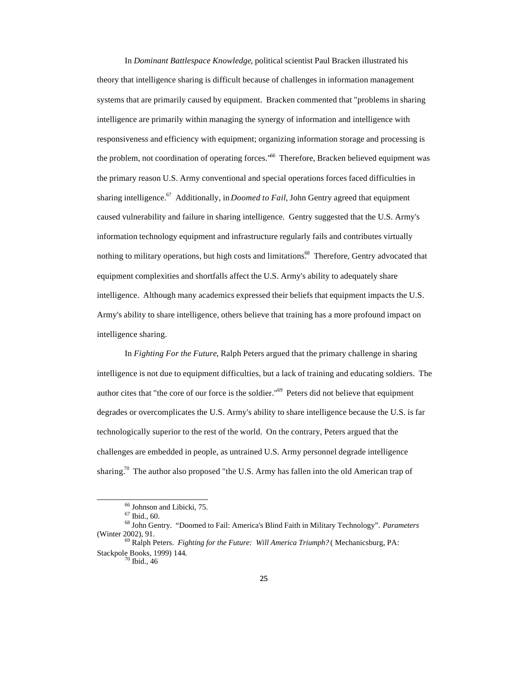In *Dominant Battlespace Knowledge*, political scientist Paul Bracken illustrated his theory that intelligence sharing is difficult because of challenges in information management systems that are primarily caused by equipment. Bracken commented that "problems in sharing intelligence are primarily within managing the synergy of information and intelligence with responsiveness and efficiency with equipment; organizing information storage and processing is the problem, not coordination of operating forces."<sup>66</sup> Therefore, Bracken believed equipment was the primary reason U.S. Army conventional and special operations forces faced difficulties in sharing intelligence.<sup>67</sup> Additionally, in *Doomed to Fail*, John Gentry agreed that equipment caused vulnerability and failure in sharing intelligence. Gentry suggested that the U.S. Army's information technology equipment and infrastructure regularly fails and contributes virtually nothing to military operations, but high costs and limitations.<sup>68</sup> Therefore, Gentry advocated that equipment complexities and shortfalls affect the U.S. Army's ability to adequately share intelligence. Although many academics expressed their beliefs that equipment impacts the U.S. Army's ability to share intelligence, others believe that training has a more profound impact on intelligence sharing.

In *Fighting For the Future*, Ralph Peters argued that the primary challenge in sharing intelligence is not due to equipment difficulties, but a lack of training and educating soldiers. The author cites that "the core of our force is the soldier."<sup>69</sup> Peters did not believe that equipment degrades or overcomplicates the U.S. Army's ability to share intelligence because the U.S. is far technologically superior to the rest of the world. On the contrary, Peters argued that the challenges are embedded in people, as untrained U.S. Army personnel degrade intelligence sharing.<sup>70</sup> The author also proposed "the U.S. Army has fallen into the old American trap of

<sup>66</sup> Johnson and Libicki, 75.

<sup>67</sup> Ibid., 60.

<sup>68</sup> John Gentry. "Doomed to Fail: America's Blind Faith in Military Technology". *Parameters* (Winter 2002), 91.

<sup>69</sup> Ralph Peters. *Fighting for the Future: Will America Triumph?* ( Mechanicsburg, PA: Stackpole Books, 1999) 144.

 $70$  Ibid., 46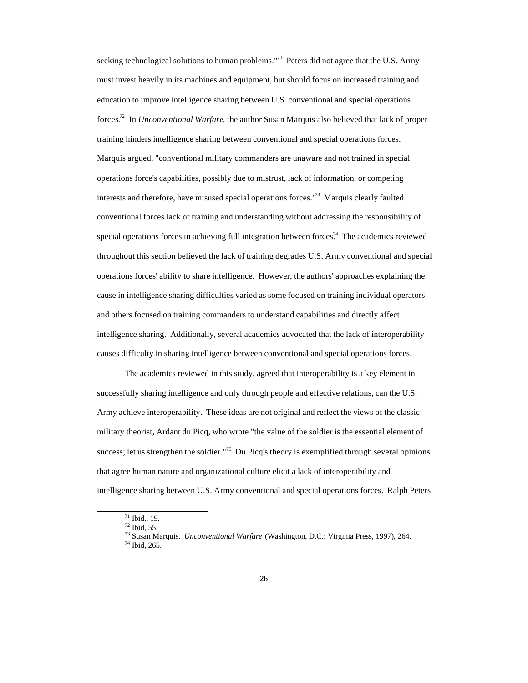seeking technological solutions to human problems."<sup>71</sup> Peters did not agree that the U.S. Army must invest heavily in its machines and equipment, but should focus on increased training and education to improve intelligence sharing between U.S. conventional and special operations forces.<sup>72</sup> In *Unconventional Warfare*, the author Susan Marquis also believed that lack of proper training hinders intelligence sharing between conventional and special operations forces. Marquis argued, "conventional military commanders are unaware and not trained in special operations force's capabilities, possibly due to mistrust, lack of information, or competing interests and therefore, have misused special operations forces."<sup>73</sup> Marquis clearly faulted conventional forces lack of training and understanding without addressing the responsibility of special operations forces in achieving full integration between forces.<sup>74</sup> The academics reviewed throughout this section believed the lack of training degrades U.S. Army conventional and special operations forces' ability to share intelligence. However, the authors' approaches explaining the cause in intelligence sharing difficulties varied as some focused on training individual operators and others focused on training commanders to understand capabilities and directly affect intelligence sharing. Additionally, several academics advocated that the lack of interoperability causes difficulty in sharing intelligence between conventional and special operations forces.

The academics reviewed in this study, agreed that interoperability is a key element in successfully sharing intelligence and only through people and effective relations, can the U.S. Army achieve interoperability. These ideas are not original and reflect the views of the classic military theorist, Ardant du Picq, who wrote "the value of the soldier is the essential element of success; let us strengthen the soldier."<sup>75</sup> Du Picq's theory is exemplified through several opinions that agree human nature and organizational culture elicit a lack of interoperability and intelligence sharing between U.S. Army conventional and special operations forces. Ralph Peters

<sup>71</sup> Ibid., 19.

<sup>72</sup> Ibid, 55.

<sup>73</sup> Susan Marquis. *Unconventional Warfare* (Washington, D.C.: Virginia Press, 1997), 264.

<sup>74</sup> Ibid, 265.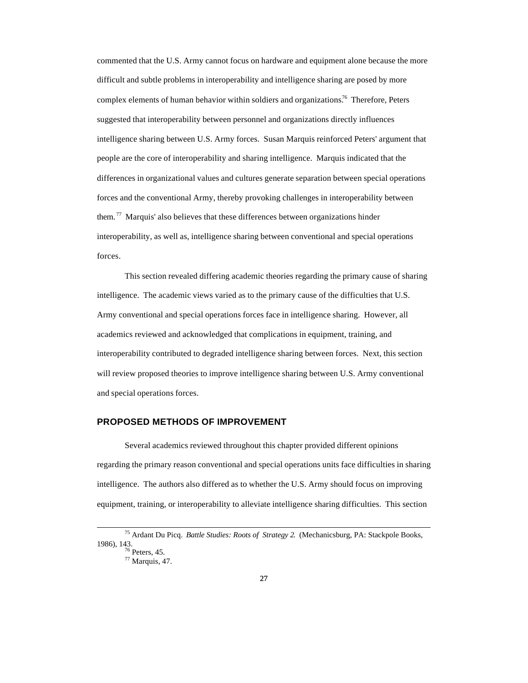commented that the U.S. Army cannot focus on hardware and equipment alone because the more difficult and subtle problems in interoperability and intelligence sharing are posed by more complex elements of human behavior within soldiers and organizations.<sup>76</sup> Therefore, Peters suggested that interoperability between personnel and organizations directly influences intelligence sharing between U.S. Army forces. Susan Marquis reinforced Peters' argument that people are the core of interoperability and sharing intelligence. Marquis indicated that the differences in organizational values and cultures generate separation between special operations forces and the conventional Army, thereby provoking challenges in interoperability between them.<sup> $77$ </sup> Marquis' also believes that these differences between organizations hinder interoperability, as well as, intelligence sharing between conventional and special operations forces.

This section revealed differing academic theories regarding the primary cause of sharing intelligence. The academic views varied as to the primary cause of the difficulties that U.S. Army conventional and special operations forces face in intelligence sharing. However, all academics reviewed and acknowledged that complications in equipment, training, and interoperability contributed to degraded intelligence sharing between forces. Next, this section will review proposed theories to improve intelligence sharing between U.S. Army conventional and special operations forces.

## **PROPOSED METHODS OF IMPROVEMENT**

Several academics reviewed throughout this chapter provided different opinions regarding the primary reason conventional and special operations units face difficulties in sharing intelligence. The authors also differed as to whether the U.S. Army should focus on improving equipment, training, or interoperability to alleviate intelligence sharing difficulties. This section

<sup>75</sup> Ardant Du Picq. *Battle Studies: Roots of Strategy 2*. (Mechanicsburg, PA: Stackpole Books, 1986), 143.  $76$  Peters, 45.

<sup>77</sup> Marquis, 47.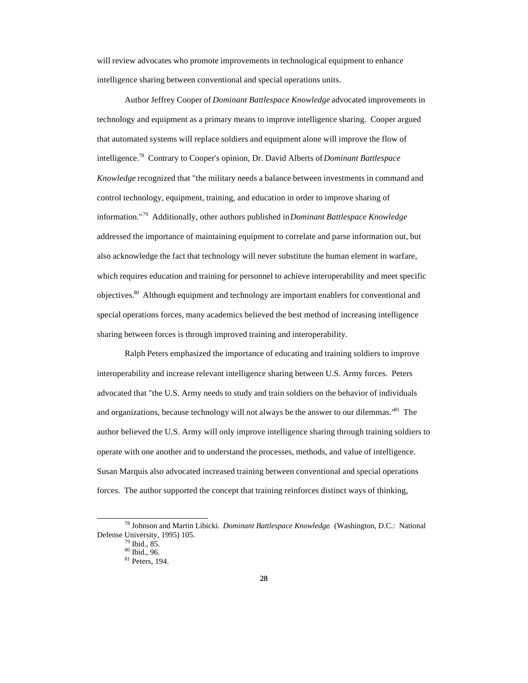will review advocates who promote improvements in technological equipment to enhance intelligence sharing between conventional and special operations units.

Author Jeffrey Cooper of *Dominant Battlespace Knowledge* advocated improvements in technology and equipment as a primary means to improve intelligence sharing. Cooper argued that automated systems will replace soldiers and equipment alone will improve the flow of intelligence.<sup>78</sup> Contrary to Cooper's opinion, Dr. David Alberts of *Dominant Battlespace Knowledge* recognized that "the military needs a balance between investments in command and control technology, equipment, training, and education in order to improve sharing of information."<sup>79</sup> Additionally, other authors published in *Dominant Battlespace Knowledge* addressed the importance of maintaining equipment to correlate and parse information out, but also acknowledge the fact that technology will never substitute the human element in warfare, which requires education and training for personnel to achieve interoperability and meet specific objectives.<sup>80</sup> Although equipment and technology are important enablers for conventional and special operations forces, many academics believed the best method of increasing intelligence sharing between forces is through improved training and interoperability.

Ralph Peters emphasized the importance of educating and training soldiers to improve interoperability and increase relevant intelligence sharing between U.S. Army forces. Peters advocated that "the U.S. Army needs to study and train soldiers on the behavior of individuals and organizations, because technology will not always be the answer to our dilemmas."<sup>81</sup> The author believed the U.S. Army will only improve intelligence sharing through training soldiers to operate with one another and to understand the processes, methods, and value of intelligence. Susan Marquis also advocated increased training between conventional and special operations forces. The author supported the concept that training reinforces distinct ways of thinking,

<sup>78</sup> Johnson and Martin Libicki. *Dominant Battlespace Knowledge*. (Washington, D.C.: National Defense University, 1995) 105.

 $79$  Ibid., 85.

<sup>80</sup> Ibid., 96.

<sup>81</sup> Peters, 194.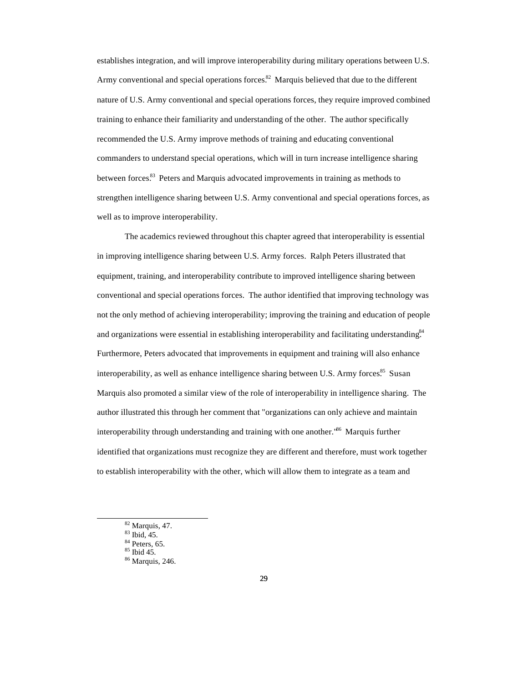establishes integration, and will improve interoperability during military operations between U.S. Army conventional and special operations forces.<sup>82</sup> Marquis believed that due to the different nature of U.S. Army conventional and special operations forces, they require improved combined training to enhance their familiarity and understanding of the other. The author specifically recommended the U.S. Army improve methods of training and educating conventional commanders to understand special operations, which will in turn increase intelligence sharing between forces.<sup>83</sup> Peters and Marquis advocated improvements in training as methods to strengthen intelligence sharing between U.S. Army conventional and special operations forces, as well as to improve interoperability.

The academics reviewed throughout this chapter agreed that interoperability is essential in improving intelligence sharing between U.S. Army forces. Ralph Peters illustrated that equipment, training, and interoperability contribute to improved intelligence sharing between conventional and special operations forces. The author identified that improving technology was not the only method of achieving interoperability; improving the training and education of people and organizations were essential in establishing interoperability and facilitating understanding.<sup>84</sup> Furthermore, Peters advocated that improvements in equipment and training will also enhance interoperability, as well as enhance intelligence sharing between U.S. Army forces.<sup>85</sup> Susan Marquis also promoted a similar view of the role of interoperability in intelligence sharing. The author illustrated this through her comment that "organizations can only achieve and maintain interoperability through understanding and training with one another.<sup>86</sup> Marquis further identified that organizations must recognize they are different and therefore, must work together to establish interoperability with the other, which will allow them to integrate as a team and

<sup>82</sup> Marquis, 47.

<sup>83</sup> Ibid, 45.

 $84$  Peters, 65.

<sup>85</sup> Ibid 45. <sup>86</sup> Marquis, 246.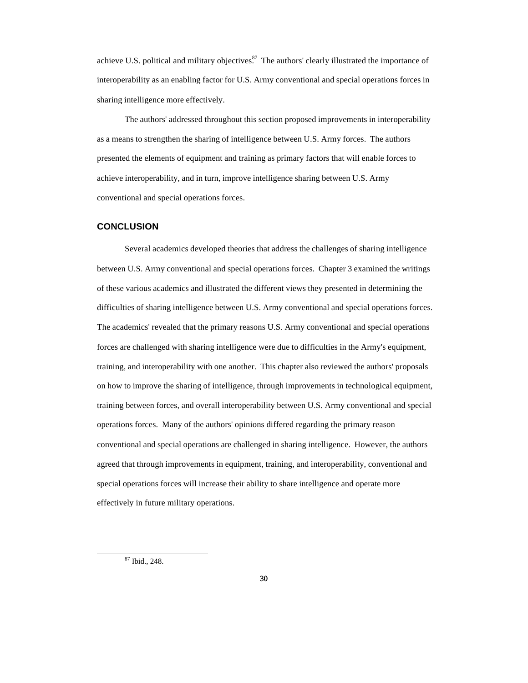achieve U.S. political and military objectives.<sup>87</sup> The authors' clearly illustrated the importance of interoperability as an enabling factor for U.S. Army conventional and special operations forces in sharing intelligence more effectively.

The authors' addressed throughout this section proposed improvements in interoperability as a means to strengthen the sharing of intelligence between U.S. Army forces. The authors presented the elements of equipment and training as primary factors that will enable forces to achieve interoperability, and in turn, improve intelligence sharing between U.S. Army conventional and special operations forces.

#### **CONCLUSION**

Several academics developed theories that address the challenges of sharing intelligence between U.S. Army conventional and special operations forces. Chapter 3 examined the writings of these various academics and illustrated the different views they presented in determining the difficulties of sharing intelligence between U.S. Army conventional and special operations forces. The academics' revealed that the primary reasons U.S. Army conventional and special operations forces are challenged with sharing intelligence were due to difficulties in the Army's equipment, training, and interoperability with one another. This chapter also reviewed the authors' proposals on how to improve the sharing of intelligence, through improvements in technological equipment, training between forces, and overall interoperability between U.S. Army conventional and special operations forces. Many of the authors' opinions differed regarding the primary reason conventional and special operations are challenged in sharing intelligence. However, the authors agreed that through improvements in equipment, training, and interoperability, conventional and special operations forces will increase their ability to share intelligence and operate more effectively in future military operations.

<sup>87</sup> Ibid., 248.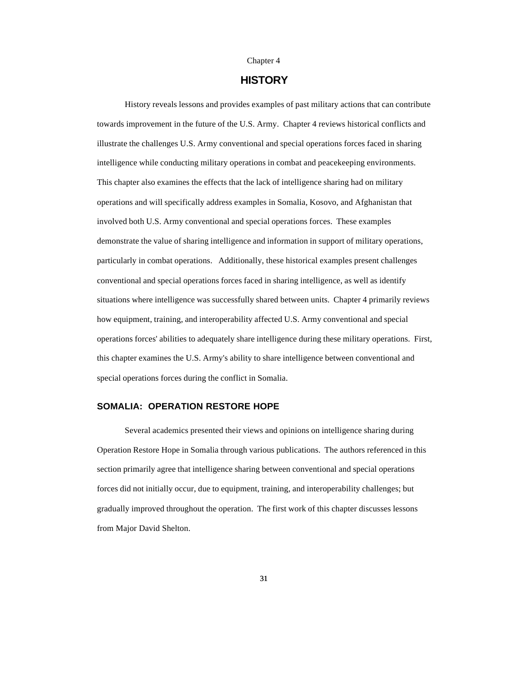#### Chapter 4

## **HISTORY**

History reveals lessons and provides examples of past military actions that can contribute towards improvement in the future of the U.S. Army. Chapter 4 reviews historical conflicts and illustrate the challenges U.S. Army conventional and special operations forces faced in sharing intelligence while conducting military operations in combat and peacekeeping environments. This chapter also examines the effects that the lack of intelligence sharing had on military operations and will specifically address examples in Somalia, Kosovo, and Afghanistan that involved both U.S. Army conventional and special operations forces. These examples demonstrate the value of sharing intelligence and information in support of military operations, particularly in combat operations. Additionally, these historical examples present challenges conventional and special operations forces faced in sharing intelligence, as well as identify situations where intelligence was successfully shared between units. Chapter 4 primarily reviews how equipment, training, and interoperability affected U.S. Army conventional and special operations forces' abilities to adequately share intelligence during these military operations. First, this chapter examines the U.S. Army's ability to share intelligence between conventional and special operations forces during the conflict in Somalia.

#### **SOMALIA: OPERATION RESTORE HOPE**

Several academics presented their views and opinions on intelligence sharing during Operation Restore Hope in Somalia through various publications. The authors referenced in this section primarily agree that intelligence sharing between conventional and special operations forces did not initially occur, due to equipment, training, and interoperability challenges; but gradually improved throughout the operation. The first work of this chapter discusses lessons from Major David Shelton.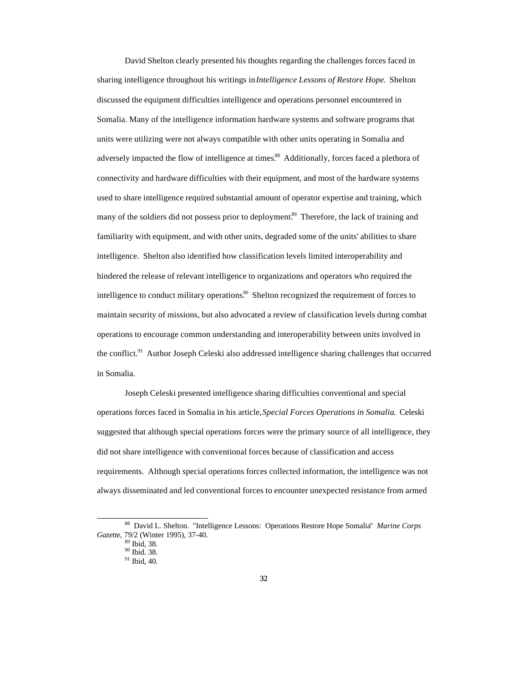David Shelton clearly presented his thoughts regarding the challenges forces faced in sharing intelligence throughout his writings in *Intelligence Lessons of Restore Hope*. Shelton discussed the equipment difficulties intelligence and operations personnel encountered in Somalia. Many of the intelligence information hardware systems and software programs that units were utilizing were not always compatible with other units operating in Somalia and adversely impacted the flow of intelligence at times.<sup>88</sup> Additionally, forces faced a plethora of connectivity and hardware difficulties with their equipment, and most of the hardware systems used to share intelligence required substantial amount of operator expertise and training, which many of the soldiers did not possess prior to deployment.<sup>89</sup> Therefore, the lack of training and familiarity with equipment, and with other units, degraded some of the units' abilities to share intelligence. Shelton also identified how classification levels limited interoperability and hindered the release of relevant intelligence to organizations and operators who required the intelligence to conduct military operations.<sup>90</sup> Shelton recognized the requirement of forces to maintain security of missions, but also advocated a review of classification levels during combat operations to encourage common understanding and interoperability between units involved in the conflict.<sup>91</sup> Author Joseph Celeski also addressed intelligence sharing challenges that occurred in Somalia.

Joseph Celeski presented intelligence sharing difficulties conventional and special operations forces faced in Somalia in his article, *Special Forces Operations in Somalia*. Celeski suggested that although special operations forces were the primary source of all intelligence, they did not share intelligence with conventional forces because of classification and access requirements. Although special operations forces collected information, the intelligence was not always disseminated and led conventional forces to encounter unexpected resistance from armed

<sup>88</sup> David L. Shelton. "Intelligence Lessons: Operations Restore Hope Somalia" *Marine Corps Gazette*, 79/2 (Winter 1995), 37-40.

<sup>89</sup> Ibid, 38.

<sup>90</sup> Ibid. 38.

<sup>91</sup> Ibid, 40.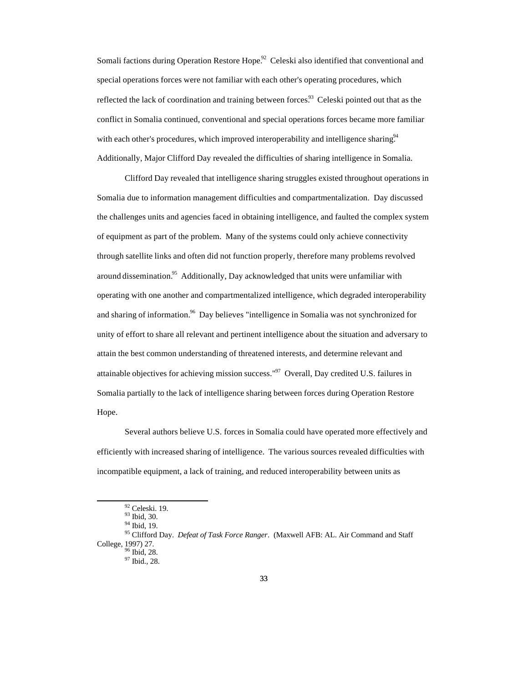Somali factions during Operation Restore Hope.<sup>92</sup> Celeski also identified that conventional and special operations forces were not familiar with each other's operating procedures, which reflected the lack of coordination and training between forces.<sup>93</sup> Celeski pointed out that as the conflict in Somalia continued, conventional and special operations forces became more familiar with each other's procedures, which improved interoperability and intelligence sharing.<sup>94</sup> Additionally, Major Clifford Day revealed the difficulties of sharing intelligence in Somalia.

Clifford Day revealed that intelligence sharing struggles existed throughout operations in Somalia due to information management difficulties and compartmentalization. Day discussed the challenges units and agencies faced in obtaining intelligence, and faulted the complex system of equipment as part of the problem. Many of the systems could only achieve connectivity through satellite links and often did not function properly, therefore many problems revolved around dissemination.<sup>95</sup> Additionally, Day acknowledged that units were unfamiliar with operating with one another and compartmentalized intelligence, which degraded interoperability and sharing of information.<sup>96</sup> Day believes "intelligence in Somalia was not synchronized for unity of effort to share all relevant and pertinent intelligence about the situation and adversary to attain the best common understanding of threatened interests, and determine relevant and attainable objectives for achieving mission success."<sup>97</sup> Overall, Day credited U.S. failures in Somalia partially to the lack of intelligence sharing between forces during Operation Restore Hope.

Several authors believe U.S. forces in Somalia could have operated more effectively and efficiently with increased sharing of intelligence. The various sources revealed difficulties with incompatible equipment, a lack of training, and reduced interoperability between units as

<sup>92</sup> Celeski. 19.

<sup>93</sup> Ibid, 30. <sup>94</sup> Ibid, 19.

<sup>95</sup> Clifford Day. *Defeat of Task Force Ranger*. (Maxwell AFB: AL. Air Command and Staff College, 1997) 27. <sup>96</sup> Ibid, 28.

<sup>97</sup> Ibid., 28.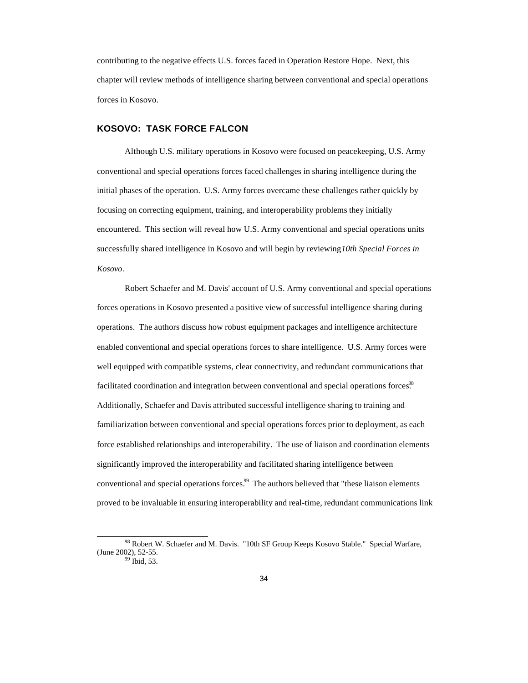contributing to the negative effects U.S. forces faced in Operation Restore Hope. Next, this chapter will review methods of intelligence sharing between conventional and special operations forces in Kosovo.

#### **KOSOVO: TASK FORCE FALCON**

 $\overline{a}$ 

Although U.S. military operations in Kosovo were focused on peacekeeping, U.S. Army conventional and special operations forces faced challenges in sharing intelligence during the initial phases of the operation. U.S. Army forces overcame these challenges rather quickly by focusing on correcting equipment, training, and interoperability problems they initially encountered. This section will reveal how U.S. Army conventional and special operations units successfully shared intelligence in Kosovo and will begin by reviewing *10th Special Forces in Kosovo*.

Robert Schaefer and M. Davis' account of U.S. Army conventional and special operations forces operations in Kosovo presented a positive view of successful intelligence sharing during operations. The authors discuss how robust equipment packages and intelligence architecture enabled conventional and special operations forces to share intelligence. U.S. Army forces were well equipped with compatible systems, clear connectivity, and redundant communications that facilitated coordination and integration between conventional and special operations forces.<sup>98</sup> Additionally, Schaefer and Davis attributed successful intelligence sharing to training and familiarization between conventional and special operations forces prior to deployment, as each force established relationships and interoperability. The use of liaison and coordination elements significantly improved the interoperability and facilitated sharing intelligence between conventional and special operations forces.<sup>99</sup> The authors believed that "these liaison elements proved to be invaluable in ensuring interoperability and real-time, redundant communications link

<sup>98</sup> Robert W. Schaefer and M. Davis. "10th SF Group Keeps Kosovo Stable." Special Warfare, (June 2002), 52-55. <sup>99</sup> Ibid, 53.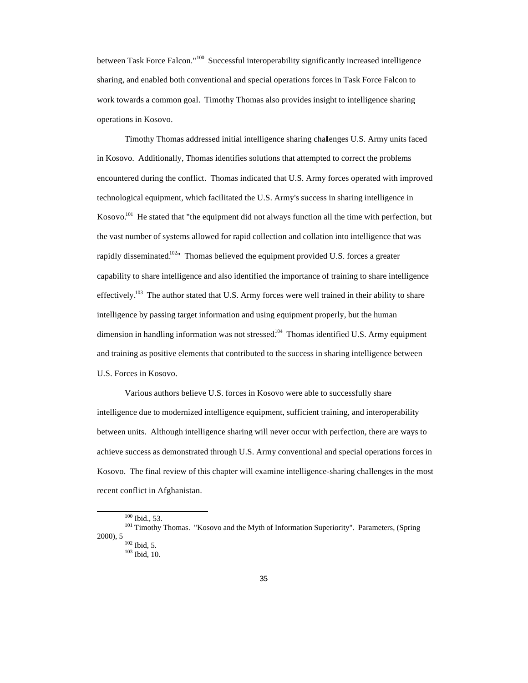between Task Force Falcon."<sup>100</sup> Successful interoperability significantly increased intelligence sharing, and enabled both conventional and special operations forces in Task Force Falcon to work towards a common goal. Timothy Thomas also provides insight to intelligence sharing operations in Kosovo.

Timothy Thomas addressed initial intelligence sharing challenges U.S. Army units faced in Kosovo. Additionally, Thomas identifies solutions that attempted to correct the problems encountered during the conflict. Thomas indicated that U.S. Army forces operated with improved technological equipment, which facilitated the U.S. Army's success in sharing intelligence in Kosovo.<sup>101</sup> He stated that "the equipment did not always function all the time with perfection, but the vast number of systems allowed for rapid collection and collation into intelligence that was rapidly disseminated.<sup>102</sup>" Thomas believed the equipment provided U.S. forces a greater capability to share intelligence and also identified the importance of training to share intelligence effectively.<sup>103</sup> The author stated that U.S. Army forces were well trained in their ability to share intelligence by passing target information and using equipment properly, but the human dimension in handling information was not stressed.<sup>104</sup> Thomas identified U.S. Army equipment and training as positive elements that contributed to the success in sharing intelligence between U.S. Forces in Kosovo.

Various authors believe U.S. forces in Kosovo were able to successfully share intelligence due to modernized intelligence equipment, sufficient training, and interoperability between units. Although intelligence sharing will never occur with perfection, there are ways to achieve success as demonstrated through U.S. Army conventional and special operations forces in Kosovo. The final review of this chapter will examine intelligence-sharing challenges in the most recent conflict in Afghanistan.

<sup>100</sup> Ibid., 53.

<sup>&</sup>lt;sup>101</sup> Timothy Thomas. "Kosovo and the Myth of Information Superiority". Parameters, (Spring 2000), 5  $102$  Ibid, 5.

<sup>103</sup> Ibid, 10.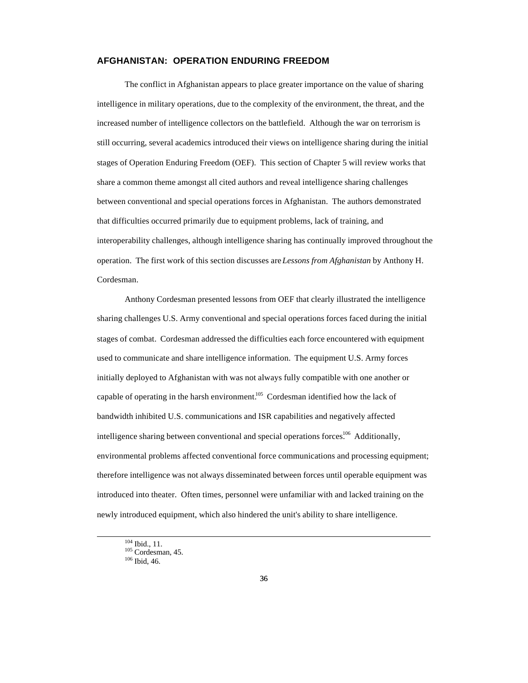#### **AFGHANISTAN: OPERATION ENDURING FREEDOM**

The conflict in Afghanistan appears to place greater importance on the value of sharing intelligence in military operations, due to the complexity of the environment, the threat, and the increased number of intelligence collectors on the battlefield. Although the war on terrorism is still occurring, several academics introduced their views on intelligence sharing during the initial stages of Operation Enduring Freedom (OEF). This section of Chapter 5 will review works that share a common theme amongst all cited authors and reveal intelligence sharing challenges between conventional and special operations forces in Afghanistan. The authors demonstrated that difficulties occurred primarily due to equipment problems, lack of training, and interoperability challenges, although intelligence sharing has continually improved throughout the operation. The first work of this section discusses are *Lessons from Afghanistan* by Anthony H. Cordesman.

Anthony Cordesman presented lessons from OEF that clearly illustrated the intelligence sharing challenges U.S. Army conventional and special operations forces faced during the initial stages of combat. Cordesman addressed the difficulties each force encountered with equipment used to communicate and share intelligence information. The equipment U.S. Army forces initially deployed to Afghanistan with was not always fully compatible with one another or capable of operating in the harsh environment.<sup>105</sup> Cordesman identified how the lack of bandwidth inhibited U.S. communications and ISR capabilities and negatively affected intelligence sharing between conventional and special operations forces.<sup>106</sup> Additionally, environmental problems affected conventional force communications and processing equipment; therefore intelligence was not always disseminated between forces until operable equipment was introduced into theater. Often times, personnel were unfamiliar with and lacked training on the newly introduced equipment, which also hindered the unit's ability to share intelligence.

<sup>104</sup> Ibid., 11.

 $105$  Cordesman, 45.

<sup>106</sup> Ibid, 46.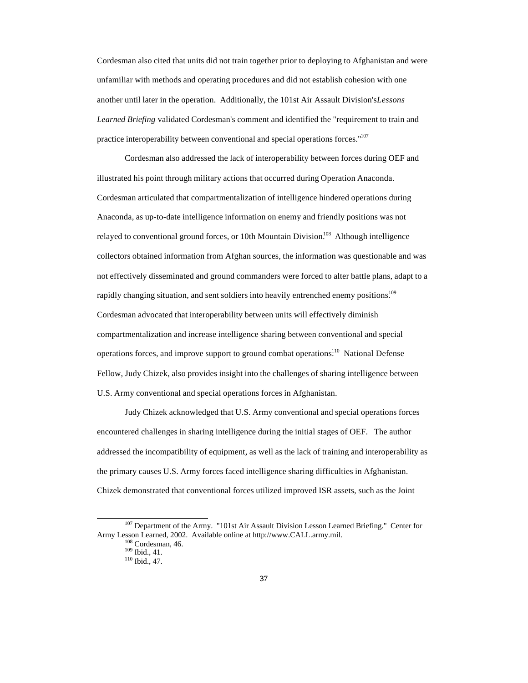Cordesman also cited that units did not train together prior to deploying to Afghanistan and were unfamiliar with methods and operating procedures and did not establish cohesion with one another until later in the operation. Additionally, the 101st Air Assault Division's *Lessons Learned Briefing* validated Cordesman's comment and identified the "requirement to train and practice interoperability between conventional and special operations forces."<sup>107</sup>

Cordesman also addressed the lack of interoperability between forces during OEF and illustrated his point through military actions that occurred during Operation Anaconda. Cordesman articulated that compartmentalization of intelligence hindered operations during Anaconda, as up-to-date intelligence information on enemy and friendly positions was not relayed to conventional ground forces, or 10th Mountain Division.<sup>108</sup> Although intelligence collectors obtained information from Afghan sources, the information was questionable and was not effectively disseminated and ground commanders were forced to alter battle plans, adapt to a rapidly changing situation, and sent soldiers into heavily entrenched enemy positions.<sup>109</sup> Cordesman advocated that interoperability between units will effectively diminish compartmentalization and increase intelligence sharing between conventional and special operations forces, and improve support to ground combat operations.<sup>110</sup> National Defense Fellow, Judy Chizek, also provides insight into the challenges of sharing intelligence between U.S. Army conventional and special operations forces in Afghanistan.

Judy Chizek acknowledged that U.S. Army conventional and special operations forces encountered challenges in sharing intelligence during the initial stages of OEF. The author addressed the incompatibility of equipment, as well as the lack of training and interoperability as the primary causes U.S. Army forces faced intelligence sharing difficulties in Afghanistan. Chizek demonstrated that conventional forces utilized improved ISR assets, such as the Joint

<sup>&</sup>lt;sup>107</sup> Department of the Army. "101st Air Assault Division Lesson Learned Briefing." Center for Army Lesson Learned, 2002. Available online at http://www.CALL.army.mil.

<sup>108</sup> Cordesman, 46.

<sup>109</sup> Ibid., 41.

<sup>110</sup> Ibid., 47.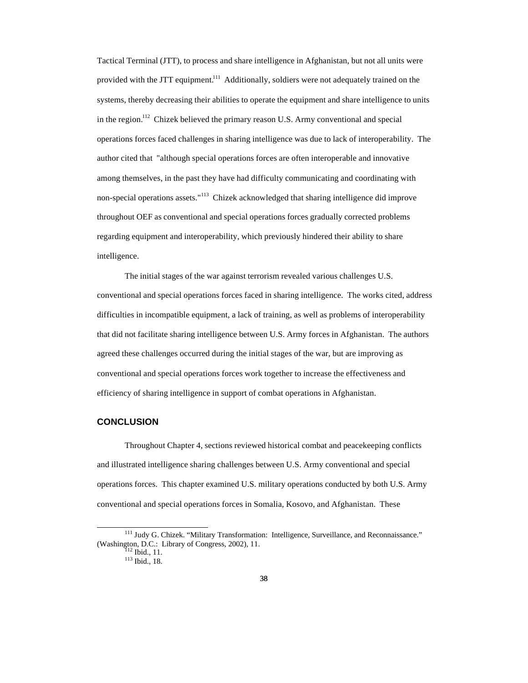Tactical Terminal (JTT), to process and share intelligence in Afghanistan, but not all units were provided with the JTT equipment.<sup>111</sup> Additionally, soldiers were not adequately trained on the systems, thereby decreasing their abilities to operate the equipment and share intelligence to units in the region.<sup>112</sup> Chizek believed the primary reason U.S. Army conventional and special operations forces faced challenges in sharing intelligence was due to lack of interoperability. The author cited that "although special operations forces are often interoperable and innovative among themselves, in the past they have had difficulty communicating and coordinating with non-special operations assets."<sup>113</sup> Chizek acknowledged that sharing intelligence did improve throughout OEF as conventional and special operations forces gradually corrected problems regarding equipment and interoperability, which previously hindered their ability to share intelligence.

The initial stages of the war against terrorism revealed various challenges U.S. conventional and special operations forces faced in sharing intelligence. The works cited, address difficulties in incompatible equipment, a lack of training, as well as problems of interoperability that did not facilitate sharing intelligence between U.S. Army forces in Afghanistan. The authors agreed these challenges occurred during the initial stages of the war, but are improving as conventional and special operations forces work together to increase the effectiveness and efficiency of sharing intelligence in support of combat operations in Afghanistan.

#### **CONCLUSION**

Throughout Chapter 4, sections reviewed historical combat and peacekeeping conflicts and illustrated intelligence sharing challenges between U.S. Army conventional and special operations forces. This chapter examined U.S. military operations conducted by both U.S. Army conventional and special operations forces in Somalia, Kosovo, and Afghanistan. These

<sup>&</sup>lt;sup>111</sup> Judy G. Chizek. "Military Transformation: Intelligence, Surveillance, and Reconnaissance." (Washington, D.C.: Library of Congress, 2002), 11.

<sup>&</sup>lt;sup>112</sup> Ibid., 11.

<sup>113</sup> Ibid., 18.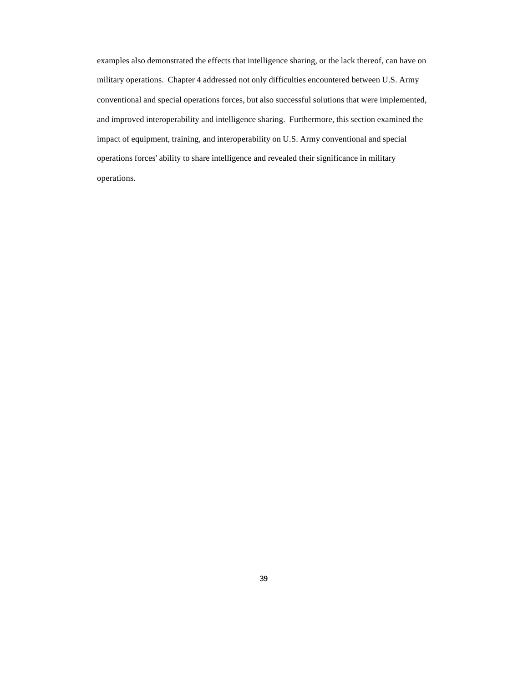examples also demonstrated the effects that intelligence sharing, or the lack thereof, can have on military operations. Chapter 4 addressed not only difficulties encountered between U.S. Army conventional and special operations forces, but also successful solutions that were implemented, and improved interoperability and intelligence sharing. Furthermore, this section examined the impact of equipment, training, and interoperability on U.S. Army conventional and special operations forces' ability to share intelligence and revealed their significance in military operations.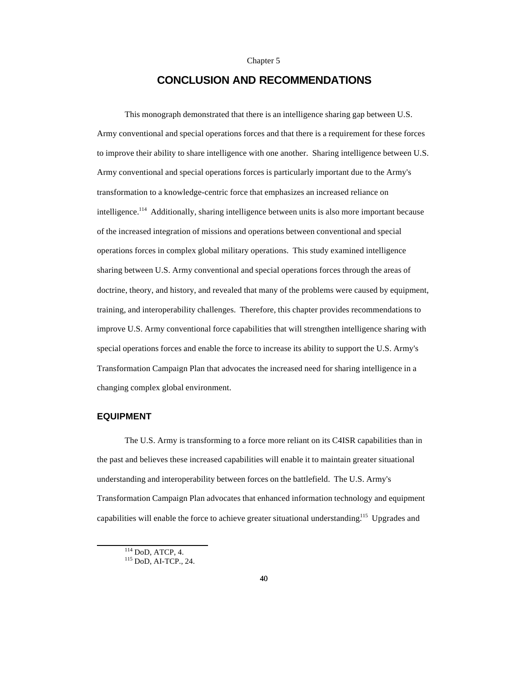#### Chapter 5

## **CONCLUSION AND RECOMMENDATIONS**

This monograph demonstrated that there is an intelligence sharing gap between U.S. Army conventional and special operations forces and that there is a requirement for these forces to improve their ability to share intelligence with one another. Sharing intelligence between U.S. Army conventional and special operations forces is particularly important due to the Army's transformation to a knowledge-centric force that emphasizes an increased reliance on  $int$ intelligence.<sup>114</sup> Additionally, sharing intelligence between units is also more important because of the increased integration of missions and operations between conventional and special operations forces in complex global military operations. This study examined intelligence sharing between U.S. Army conventional and special operations forces through the areas of doctrine, theory, and history, and revealed that many of the problems were caused by equipment, training, and interoperability challenges. Therefore, this chapter provides recommendations to improve U.S. Army conventional force capabilities that will strengthen intelligence sharing with special operations forces and enable the force to increase its ability to support the U.S. Army's Transformation Campaign Plan that advocates the increased need for sharing intelligence in a changing complex global environment.

#### **EQUIPMENT**

 $\overline{a}$ 

The U.S. Army is transforming to a force more reliant on its C4ISR capabilities than in the past and believes these increased capabilities will enable it to maintain greater situational understanding and interoperability between forces on the battlefield. The U.S. Army's Transformation Campaign Plan advocates that enhanced information technology and equipment capabilities will enable the force to achieve greater situational understanding.<sup>115</sup> Upgrades and

<sup>114</sup> DoD, ATCP, 4.

<sup>115</sup> DoD, AI-TCP., 24.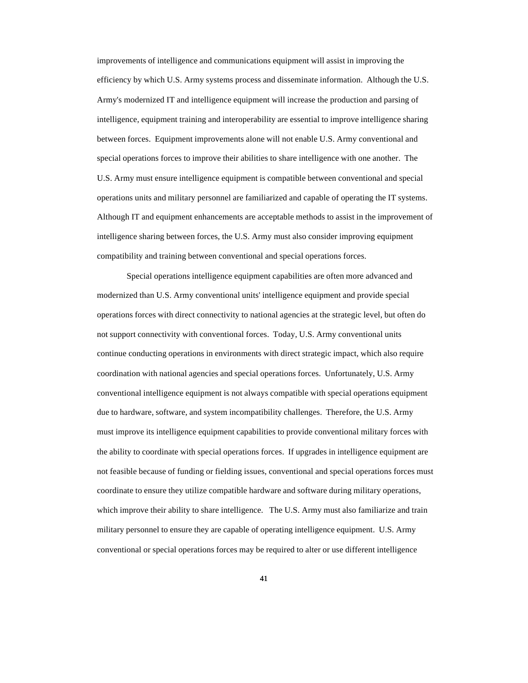improvements of intelligence and communications equipment will assist in improving the efficiency by which U.S. Army systems process and disseminate information. Although the U.S. Army's modernized IT and intelligence equipment will increase the production and parsing of intelligence, equipment training and interoperability are essential to improve intelligence sharing between forces. Equipment improvements alone will not enable U.S. Army conventional and special operations forces to improve their abilities to share intelligence with one another. The U.S. Army must ensure intelligence equipment is compatible between conventional and special operations units and military personnel are familiarized and capable of operating the IT systems. Although IT and equipment enhancements are acceptable methods to assist in the improvement of intelligence sharing between forces, the U.S. Army must also consider improving equipment compatibility and training between conventional and special operations forces.

 Special operations intelligence equipment capabilities are often more advanced and modernized than U.S. Army conventional units' intelligence equipment and provide special operations forces with direct connectivity to national agencies at the strategic level, but often do not support connectivity with conventional forces. Today, U.S. Army conventional units continue conducting operations in environments with direct strategic impact, which also require coordination with national agencies and special operations forces. Unfortunately, U.S. Army conventional intelligence equipment is not always compatible with special operations equipment due to hardware, software, and system incompatibility challenges. Therefore, the U.S. Army must improve its intelligence equipment capabilities to provide conventional military forces with the ability to coordinate with special operations forces. If upgrades in intelligence equipment are not feasible because of funding or fielding issues, conventional and special operations forces must coordinate to ensure they utilize compatible hardware and software during military operations, which improve their ability to share intelligence. The U.S. Army must also familiarize and train military personnel to ensure they are capable of operating intelligence equipment. U.S. Army conventional or special operations forces may be required to alter or use different intelligence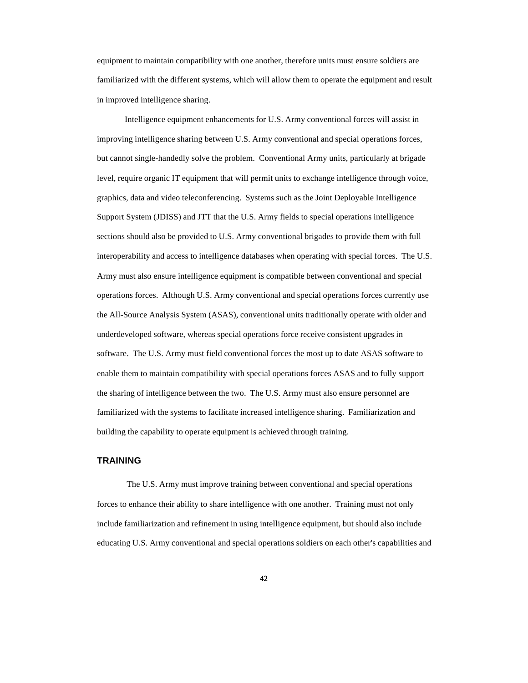equipment to maintain compatibility with one another, therefore units must ensure soldiers are familiarized with the different systems, which will allow them to operate the equipment and result in improved intelligence sharing.

Intelligence equipment enhancements for U.S. Army conventional forces will assist in improving intelligence sharing between U.S. Army conventional and special operations forces, but cannot single-handedly solve the problem. Conventional Army units, particularly at brigade level, require organic IT equipment that will permit units to exchange intelligence through voice, graphics, data and video teleconferencing. Systems such as the Joint Deployable Intelligence Support System (JDISS) and JTT that the U.S. Army fields to special operations intelligence sections should also be provided to U.S. Army conventional brigades to provide them with full interoperability and access to intelligence databases when operating with special forces. The U.S. Army must also ensure intelligence equipment is compatible between conventional and special operations forces. Although U.S. Army conventional and special operations forces currently use the All-Source Analysis System (ASAS), conventional units traditionally operate with older and underdeveloped software, whereas special operations force receive consistent upgrades in software. The U.S. Army must field conventional forces the most up to date ASAS software to enable them to maintain compatibility with special operations forces ASAS and to fully support the sharing of intelligence between the two. The U.S. Army must also ensure personnel are familiarized with the systems to facilitate increased intelligence sharing. Familiarization and building the capability to operate equipment is achieved through training.

#### **TRAINING**

 The U.S. Army must improve training between conventional and special operations forces to enhance their ability to share intelligence with one another. Training must not only include familiarization and refinement in using intelligence equipment, but should also include educating U.S. Army conventional and special operations soldiers on each other's capabilities and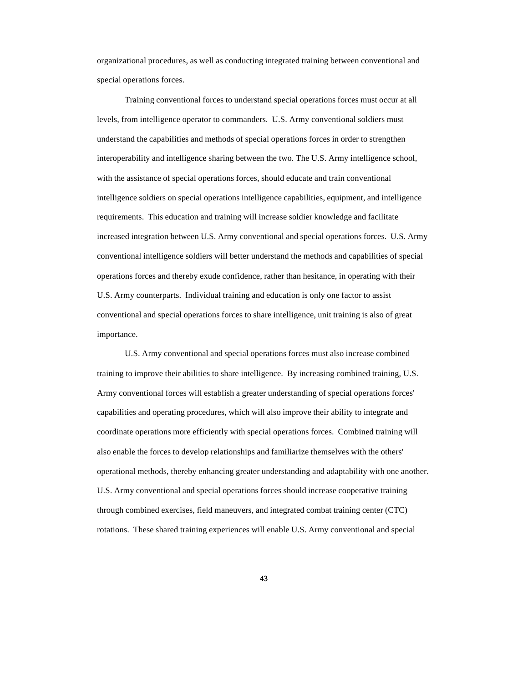organizational procedures, as well as conducting integrated training between conventional and special operations forces.

Training conventional forces to understand special operations forces must occur at all levels, from intelligence operator to commanders. U.S. Army conventional soldiers must understand the capabilities and methods of special operations forces in order to strengthen interoperability and intelligence sharing between the two. The U.S. Army intelligence school, with the assistance of special operations forces, should educate and train conventional intelligence soldiers on special operations intelligence capabilities, equipment, and intelligence requirements. This education and training will increase soldier knowledge and facilitate increased integration between U.S. Army conventional and special operations forces. U.S. Army conventional intelligence soldiers will better understand the methods and capabilities of special operations forces and thereby exude confidence, rather than hesitance, in operating with their U.S. Army counterparts. Individual training and education is only one factor to assist conventional and special operations forces to share intelligence, unit training is also of great importance.

U.S. Army conventional and special operations forces must also increase combined training to improve their abilities to share intelligence. By increasing combined training, U.S. Army conventional forces will establish a greater understanding of special operations forces' capabilities and operating procedures, which will also improve their ability to integrate and coordinate operations more efficiently with special operations forces. Combined training will also enable the forces to develop relationships and familiarize themselves with the others' operational methods, thereby enhancing greater understanding and adaptability with one another. U.S. Army conventional and special operations forces should increase cooperative training through combined exercises, field maneuvers, and integrated combat training center (CTC) rotations. These shared training experiences will enable U.S. Army conventional and special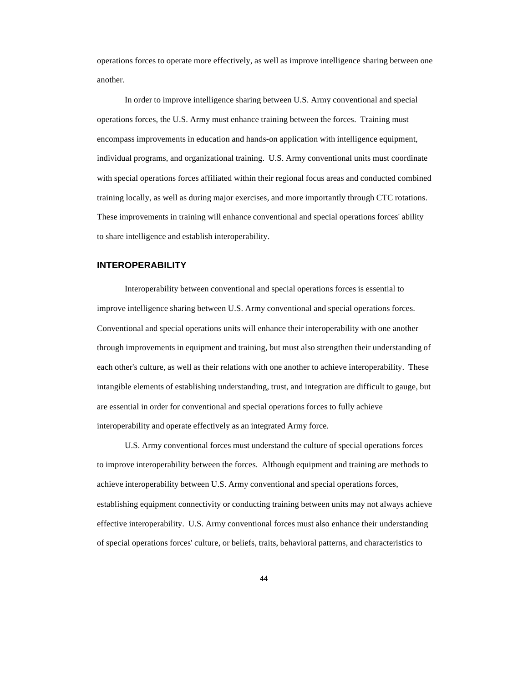operations forces to operate more effectively, as well as improve intelligence sharing between one another.

In order to improve intelligence sharing between U.S. Army conventional and special operations forces, the U.S. Army must enhance training between the forces. Training must encompass improvements in education and hands-on application with intelligence equipment, individual programs, and organizational training. U.S. Army conventional units must coordinate with special operations forces affiliated within their regional focus areas and conducted combined training locally, as well as during major exercises, and more importantly through CTC rotations. These improvements in training will enhance conventional and special operations forces' ability to share intelligence and establish interoperability.

#### **INTEROPERABILITY**

Interoperability between conventional and special operations forces is essential to improve intelligence sharing between U.S. Army conventional and special operations forces. Conventional and special operations units will enhance their interoperability with one another through improvements in equipment and training, but must also strengthen their understanding of each other's culture, as well as their relations with one another to achieve interoperability. These intangible elements of establishing understanding, trust, and integration are difficult to gauge, but are essential in order for conventional and special operations forces to fully achieve interoperability and operate effectively as an integrated Army force.

U.S. Army conventional forces must understand the culture of special operations forces to improve interoperability between the forces. Although equipment and training are methods to achieve interoperability between U.S. Army conventional and special operations forces, establishing equipment connectivity or conducting training between units may not always achieve effective interoperability. U.S. Army conventional forces must also enhance their understanding of special operations forces' culture, or beliefs, traits, behavioral patterns, and characteristics to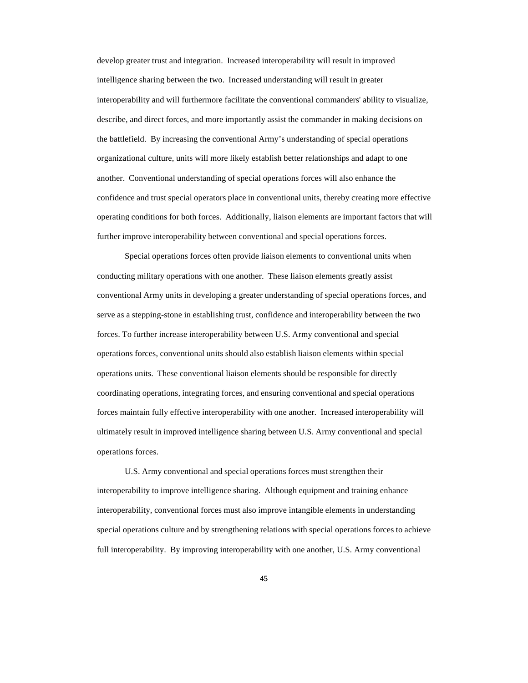develop greater trust and integration. Increased interoperability will result in improved intelligence sharing between the two. Increased understanding will result in greater interoperability and will furthermore facilitate the conventional commanders' ability to visualize, describe, and direct forces, and more importantly assist the commander in making decisions on the battlefield. By increasing the conventional Army's understanding of special operations organizational culture, units will more likely establish better relationships and adapt to one another. Conventional understanding of special operations forces will also enhance the confidence and trust special operators place in conventional units, thereby creating more effective operating conditions for both forces. Additionally, liaison elements are important factors that will further improve interoperability between conventional and special operations forces.

Special operations forces often provide liaison elements to conventional units when conducting military operations with one another. These liaison elements greatly assist conventional Army units in developing a greater understanding of special operations forces, and serve as a stepping-stone in establishing trust, confidence and interoperability between the two forces. To further increase interoperability between U.S. Army conventional and special operations forces, conventional units should also establish liaison elements within special operations units. These conventional liaison elements should be responsible for directly coordinating operations, integrating forces, and ensuring conventional and special operations forces maintain fully effective interoperability with one another. Increased interoperability will ultimately result in improved intelligence sharing between U.S. Army conventional and special operations forces.

U.S. Army conventional and special operations forces must strengthen their interoperability to improve intelligence sharing. Although equipment and training enhance interoperability, conventional forces must also improve intangible elements in understanding special operations culture and by strengthening relations with special operations forces to achieve full interoperability. By improving interoperability with one another, U.S. Army conventional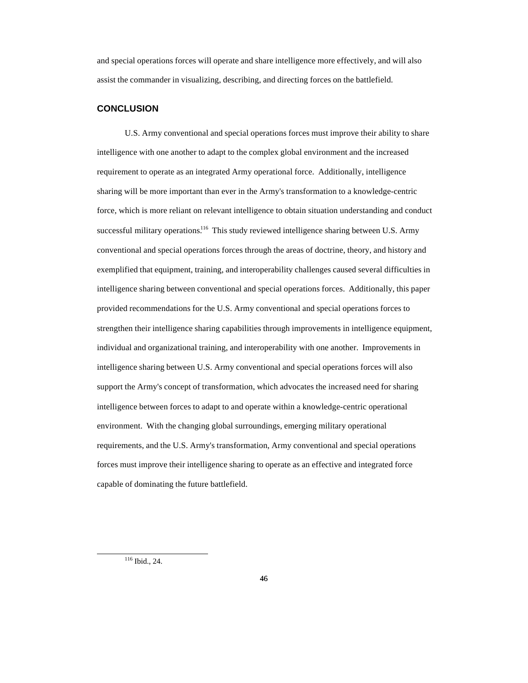and special operations forces will operate and share intelligence more effectively, and will also assist the commander in visualizing, describing, and directing forces on the battlefield.

#### **CONCLUSION**

U.S. Army conventional and special operations forces must improve their ability to share intelligence with one another to adapt to the complex global environment and the increased requirement to operate as an integrated Army operational force. Additionally, intelligence sharing will be more important than ever in the Army's transformation to a knowledge-centric force, which is more reliant on relevant intelligence to obtain situation understanding and conduct successful military operations.<sup>116</sup> This study reviewed intelligence sharing between U.S. Army conventional and special operations forces through the areas of doctrine, theory, and history and exemplified that equipment, training, and interoperability challenges caused several difficulties in intelligence sharing between conventional and special operations forces. Additionally, this paper provided recommendations for the U.S. Army conventional and special operations forces to strengthen their intelligence sharing capabilities through improvements in intelligence equipment, individual and organizational training, and interoperability with one another. Improvements in intelligence sharing between U.S. Army conventional and special operations forces will also support the Army's concept of transformation, which advocates the increased need for sharing intelligence between forces to adapt to and operate within a knowledge-centric operational environment. With the changing global surroundings, emerging military operational requirements, and the U.S. Army's transformation, Army conventional and special operations forces must improve their intelligence sharing to operate as an effective and integrated force capable of dominating the future battlefield.

<sup>116</sup> Ibid., 24.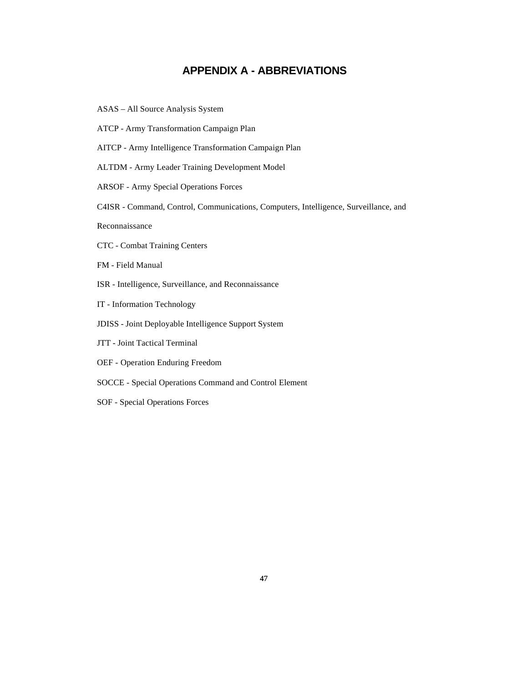## **APPENDIX A - ABBREVIATIONS**

- ASAS All Source Analysis System
- ATCP Army Transformation Campaign Plan
- AITCP Army Intelligence Transformation Campaign Plan
- ALTDM Army Leader Training Development Model
- ARSOF Army Special Operations Forces
- C4ISR Command, Control, Communications, Computers, Intelligence, Surveillance, and

Reconnaissance

- CTC Combat Training Centers
- FM Field Manual
- ISR Intelligence, Surveillance, and Reconnaissance
- IT Information Technology
- JDISS Joint Deployable Intelligence Support System
- JTT Joint Tactical Terminal
- OEF Operation Enduring Freedom
- SOCCE Special Operations Command and Control Element
- SOF Special Operations Forces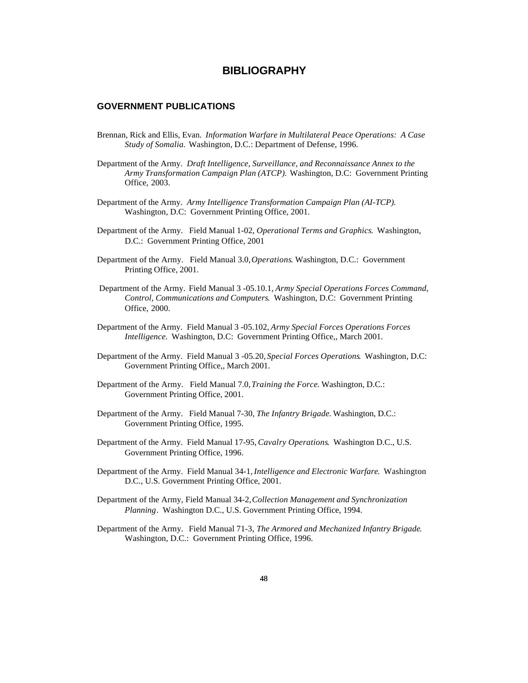## **BIBLIOGRAPHY**

#### **GOVERNMENT PUBLICATIONS**

- Brennan, Rick and Ellis, Evan. *Information Warfare in Multilateral Peace Operations: A Case Study of Somalia.* Washington, D.C.: Department of Defense, 1996.
- Department of the Army. *Draft Intelligence, Surveillance, and Reconnaissance Annex to the Army Transformation Campaign Plan (ATCP).* Washington, D.C: Government Printing Office, 2003.
- Department of the Army. *Army Intelligence Transformation Campaign Plan (AI-TCP)*. Washington, D.C: Government Printing Office, 2001.
- Department of the Army. Field Manual 1-02, *Operational Terms and Graphics*. Washington, D.C.: Government Printing Office, 2001
- Department of the Army. Field Manual 3.0, *Operations*. Washington, D.C.: Government Printing Office, 2001.
- Department of the Army. Field Manual 3 -05.10.1, *Army Special Operations Forces Command, Control, Communications and Computers*. Washington, D.C: Government Printing Office, 2000.
- Department of the Army. Field Manual 3 -05.102, *Army Special Forces Operations Forces Intelligence*. Washington, D.C: Government Printing Office,, March 2001.
- Department of the Army. Field Manual 3 -05.20, *Special Forces Operations*. Washington, D.C: Government Printing Office,, March 2001.
- Department of the Army. Field Manual 7.0, *Training the Force*. Washington, D.C.: Government Printing Office, 2001.
- Department of the Army. Field Manual 7-30, *The Infantry Brigade*. Washington, D.C.: Government Printing Office, 1995.
- Department of the Army. Field Manual 17-95, *Cavalry Operations*. Washington D.C., U.S. Government Printing Office, 1996.
- Department of the Army. Field Manual 34-1, *Intelligence and Electronic Warfare*. Washington D.C., U.S. Government Printing Office, 2001.
- Department of the Army, Field Manual 34-2, *Collection Management and Synchronization Planning*. Washington D.C., U.S. Government Printing Office, 1994.
- Department of the Army. Field Manual 71-3, *The Armored and Mechanized Infantry Brigade*. Washington, D.C.: Government Printing Office, 1996.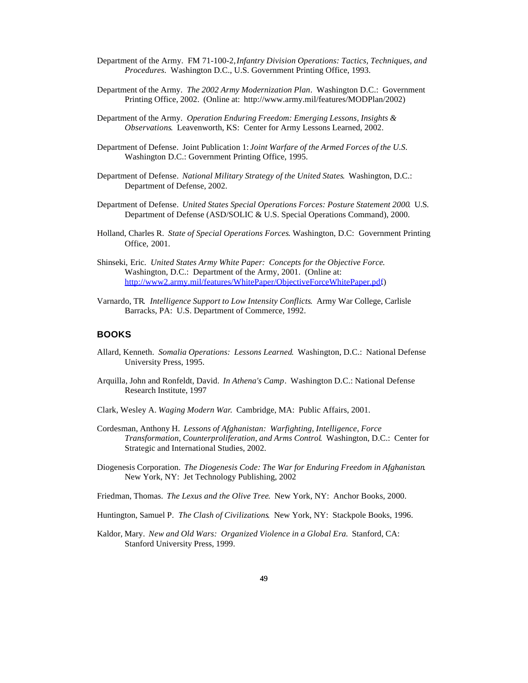- Department of the Army. FM 71-100-2, *Infantry Division Operations: Tactics, Techniques, and Procedures*. Washington D.C., U.S. Government Printing Office, 1993.
- Department of the Army. *The 2002 Army Modernization Plan*. Washington D.C.: Government Printing Office, 2002. (Online at: http://www.army.mil/features/MODPlan/2002)
- Department of the Army. *Operation Enduring Freedom: Emerging Lessons, Insights & Observations*. Leavenworth, KS: Center for Army Lessons Learned, 2002.
- Department of Defense. Joint Publication 1: *Joint Warfare of the Armed Forces of the U.S*. Washington D.C.: Government Printing Office, 1995.
- Department of Defense. *National Military Strategy of the United States*. Washington, D.C.: Department of Defense, 2002.
- Department of Defense. *United States Special Operations Forces: Posture Statement 2000*. U.S. Department of Defense (ASD/SOLIC & U.S. Special Operations Command), 2000.
- Holland, Charles R. *State of Special Operations Forces*. Washington, D.C: Government Printing Office, 2001.
- Shinseki, Eric. *United States Army White Paper: Concepts for the Objective Force*. Washington, D.C.: Department of the Army, 2001. (Online at: http://www2.army.mil/features/WhitePaper/ObjectiveForceWhitePaper.pdf.)
- Varnardo, TR*. Intelligence Support to Low Intensity Conflicts*. Army War College, Carlisle Barracks, PA: U.S. Department of Commerce, 1992.

#### **BOOKS**

- Allard, Kenneth. *Somalia Operations: Lessons Learned*. Washington, D.C.: National Defense University Press, 1995.
- Arquilla, John and Ronfeldt, David. *In Athena's Camp*. Washington D.C.: National Defense Research Institute, 1997
- Clark, Wesley A. *Waging Modern War*. Cambridge, MA: Public Affairs, 2001.
- Cordesman, Anthony H. *Lessons of Afghanistan: Warfighting, Intelligence, Force Transformation, Counterproliferation, and Arms Control*. Washington, D.C.: Center for Strategic and International Studies, 2002.
- Diogenesis Corporation. *The Diogenesis Code: The War for Enduring Freedom in Afghanistan*. New York, NY: Jet Technology Publishing, 2002
- Friedman, Thomas. *The Lexus and the Olive Tree*. New York, NY: Anchor Books, 2000.
- Huntington, Samuel P. *The Clash of Civilizations*. New York, NY: Stackpole Books, 1996.
- Kaldor, Mary. *New and Old Wars: Organized Violence in a Global Era*. Stanford, CA: Stanford University Press, 1999.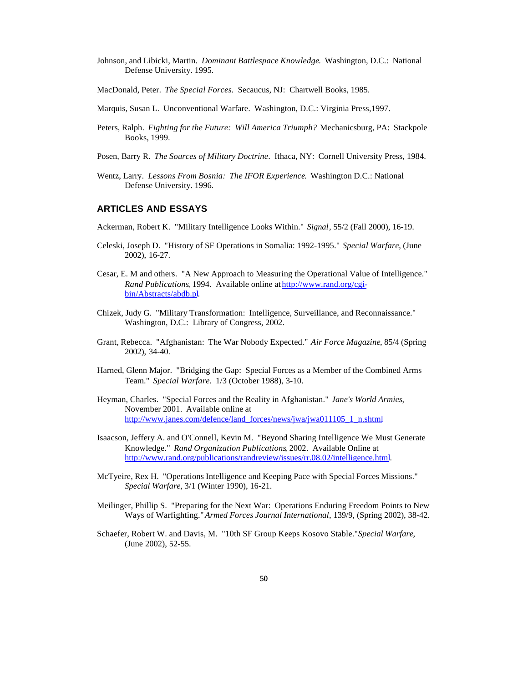- Johnson, and Libicki, Martin. *Dominant Battlespace Knowledge*. Washington, D.C.: National Defense University. 1995.
- MacDonald, Peter. *The Special Forces*. Secaucus, NJ: Chartwell Books, 1985.
- Marquis, Susan L. Unconventional Warfare. Washington, D.C.: Virginia Press,1997.
- Peters, Ralph. *Fighting for the Future: Will America Triumph?* Mechanicsburg, PA: Stackpole Books, 1999.
- Posen, Barry R. *The Sources of Military Doctrine*. Ithaca, NY: Cornell University Press, 1984.
- Wentz, Larry. *Lessons From Bosnia: The IFOR Experience*. Washington D.C.: National Defense University. 1996.

#### **ARTICLES AND ESSAYS**

Ackerman, Robert K. "Military Intelligence Looks Within." *Signal*, 55/2 (Fall 2000), 16-19.

- Celeski, Joseph D. "History of SF Operations in Somalia: 1992-1995." *Special Warfare*, (June 2002), 16-27.
- Cesar, E. M and others. "A New Approach to Measuring the Operational Value of Intelligence." *Rand Publications*, 1994. Available online at http://www.rand.org/cgibin/Abstracts/abdb.pl.
- Chizek, Judy G. "Military Transformation: Intelligence, Surveillance, and Reconnaissance." Washington, D.C.: Library of Congress, 2002.
- Grant, Rebecca. "Afghanistan: The War Nobody Expected." *Air Force Magazine*, 85/4 (Spring 2002), 34-40.
- Harned, Glenn Major. "Bridging the Gap: Special Forces as a Member of the Combined Arms Team." *Special Warfare*. 1/3 (October 1988), 3-10.
- Heyman, Charles. "Special Forces and the Reality in Afghanistan." *Jane's World Armies*, November 2001. Available online at http://www.janes.com/defence/land\_forces/news/jwa/jwa011105\_1\_n.shtml
- Isaacson, Jeffery A. and O'Connell, Kevin M. "Beyond Sharing Intelligence We Must Generate Knowledge." *Rand Organization Publications*, 2002. Available Online at http://www.rand.org/publications/randreview/issues/rr.08.02/intelligence.html.
- McTyeire, Rex H. "Operations Intelligence and Keeping Pace with Special Forces Missions." *Special Warfare*, 3/1 (Winter 1990), 16-21.
- Meilinger, Phillip S. "Preparing for the Next War: Operations Enduring Freedom Points to New Ways of Warfighting." *Armed Forces Journal International*, 139/9, (Spring 2002), 38-42.
- Schaefer, Robert W. and Davis, M. "10th SF Group Keeps Kosovo Stable." *Special Warfare*, (June 2002), 52-55.